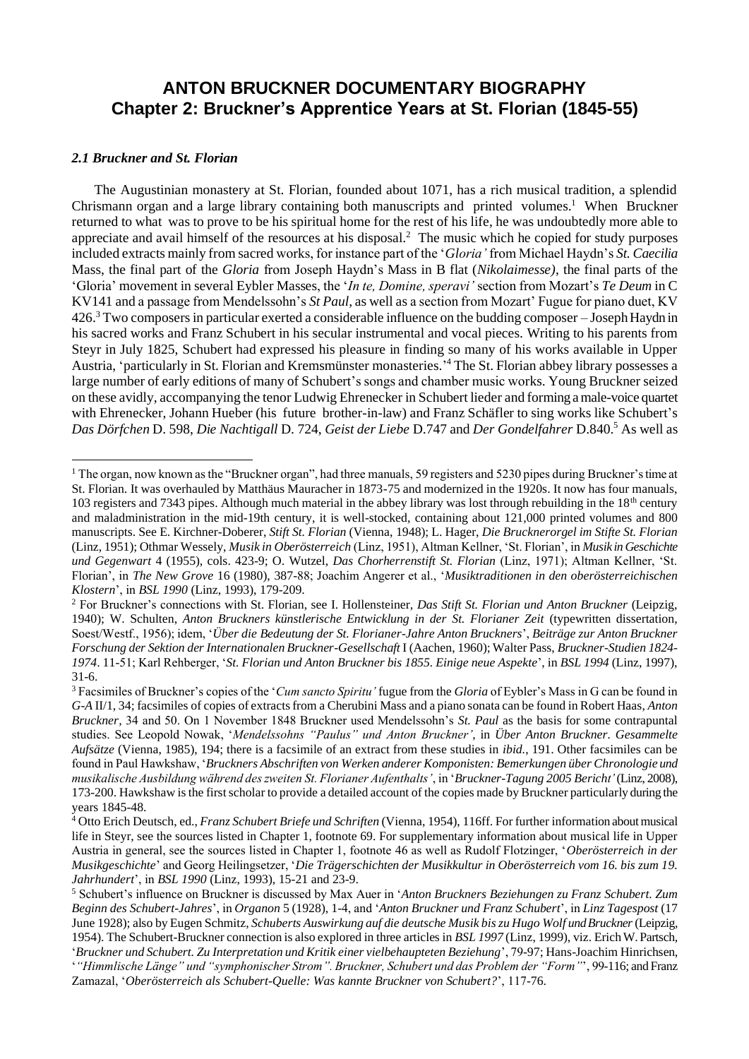# **ANTON BRUCKNER DOCUMENTARY BIOGRAPHY Chapter 2: Bruckner's Apprentice Years at St. Florian (1845-55)**

### *2.1 Bruckner and St. Florian*

The Augustinian monastery at St. Florian, founded about 1071, has a rich musical tradition, a splendid Chrismann organ and a large library containing both manuscripts and printed volumes.<sup>1</sup> When Bruckner returned to what was to prove to be his spiritual home for the rest of his life, he was undoubtedly more able to appreciate and avail himself of the resources at his disposal.<sup>2</sup> The music which he copied for study purposes included extracts mainly from sacred works, for instance part of the '*Gloria'* from Michael Haydn's *St. Caecilia* Mass, the final part of the *Gloria* from Joseph Haydn's Mass in B flat (*Nikolaimesse)*, the final parts of the 'Gloria' movement in several Eybler Masses, the '*In te, Domine, speravi'* section from Mozart's *Te Deum* in C KV141 and a passage from Mendelssohn's *St Paul,* as well as a section from Mozart' Fugue for piano duet, KV 426.<sup>3</sup> Two composers in particular exerted a considerable influence on the budding composer – Joseph Haydn in his sacred works and Franz Schubert in his secular instrumental and vocal pieces. Writing to his parents from Steyr in July 1825, Schubert had expressed his pleasure in finding so many of his works available in Upper Austria, 'particularly in St. Florian and Kremsmünster monasteries.' <sup>4</sup> The St. Florian abbey library possesses a large number of early editions of many of Schubert's songs and chamber music works. Young Bruckner seized on these avidly, accompanying the tenor Ludwig Ehrenecker in Schubert lieder and forming a male-voice quartet with Ehrenecker, Johann Hueber (his future brother-in-law) and Franz Schäfler to sing works like Schubert's *Das Dörfchen* D. 598, *Die Nachtigall* D. 724, *Geist der Liebe* D.747 and *Der Gondelfahrer* D.840.<sup>5</sup> As well as

 $1$  The organ, now known as the "Bruckner organ", had three manuals, 59 registers and 5230 pipes during Bruckner's time at St. Florian. It was overhauled by Matthäus Mauracher in 1873-75 and modernized in the 1920s. It now has four manuals, 103 registers and 7343 pipes. Although much material in the abbey library was lost through rebuilding in the  $18<sup>th</sup>$  century and maladministration in the mid-19th century, it is well-stocked, containing about 121,000 printed volumes and 800 manuscripts. See E. Kirchner-Doberer, *Stift St. Florian* (Vienna, 1948); L. Hager, *Die Brucknerorgel im Stifte St. Florian* (Linz, 1951); Othmar Wessely, *Musik in Oberösterreich* (Linz, 1951), Altman Kellner, 'St. Florian', in *Musik in Geschichte und Gegenwart* 4 (1955), cols. 423-9; O. Wutzel, *Das Chorherrenstift St. Florian* (Linz, 1971); Altman Kellner, 'St. Florian', in *The New Grove* 16 (1980), 387-88; Joachim Angerer et al., '*Musiktraditionen in den oberösterreichischen Klostern*', in *BSL 1990* (Linz, 1993), 179-209.

<sup>2</sup> For Bruckner's connections with St. Florian, see I. Hollensteiner, *Das Stift St. Florian und Anton Bruckner* (Leipzig, 1940); W. Schulten, *Anton Bruckners künstlerische Entwicklung in der St. Florianer Zeit* (typewritten dissertation, Soest/Westf., 1956); idem, '*Über die Bedeutung der St. Florianer-Jahre Anton Bruckners*', *Beiträge zur Anton Bruckner Forschung der Sektion der Internationalen Bruckner-Gesellschaft* I (Aachen, 1960); Walter Pass, *Bruckner-Studien 1824- 1974*. 11-51; Karl Rehberger, '*St. Florian und Anton Bruckner bis 1855. Einige neue Aspekte*', in *BSL 1994* (Linz, 1997), 31-6.

<sup>3</sup>Facsimiles of Bruckner's copies of the '*Cum sancto Spiritu'* fugue from the *Gloria* of Eybler's Mass in G can be found in *G-A* II/1, 34; facsimiles of copies of extracts from a Cherubini Mass and a piano sonata can be found in Robert Haas, *Anton Bruckner,* 34 and 50. On 1 November 1848 Bruckner used Mendelssohn's *St. Paul* as the basis for some contrapuntal studies. See Leopold Nowak, '*Mendelssohns "Paulus" und Anton Bruckner'*, in *Über Anton Bruckner. Gesammelte Aufsätze* (Vienna, 1985), 194; there is a facsimile of an extract from these studies in *ibid.*, 191. Other facsimiles can be found in Paul Hawkshaw, '*Bruckners Abschriften von Werken anderer Komponisten: Bemerkungen über Chronologie und musikalische Ausbildung während des zweiten St. Florianer Aufenthalts'*, in '*Bruckner-Tagung 2005 Bericht'* (Linz, 2008), 173-200. Hawkshaw is the first scholar to provide a detailed account of the copies made by Bruckner particularly during the years 1845-48.

<sup>4</sup> Otto Erich Deutsch, ed., *Franz Schubert Briefe und Schriften* (Vienna, 1954), 116ff. For further information about musical life in Steyr, see the sources listed in Chapter 1, footnote 69. For supplementary information about musical life in Upper Austria in general, see the sources listed in Chapter 1, footnote 46 as well as Rudolf Flotzinger, '*Oberösterreich in der Musikgeschichte*' and Georg Heilingsetzer, '*Die Trägerschichten der Musikkultur in Oberösterreich vom 16. bis zum 19. Jahrhundert*', in *BSL 1990* (Linz, 1993), 15-21 and 23-9.

<sup>5</sup> Schubert's influence on Bruckner is discussed by Max Auer in '*Anton Bruckners Beziehungen zu Franz Schubert. Zum Beginn des Schubert-Jahres*', in *Organon* 5 (1928), 1-4, and '*Anton Bruckner und Franz Schubert*', in *Linz Tagespost* (17 June 1928); also by Eugen Schmitz, *Schuberts Auswirkung auf die deutsche Musik bis zu Hugo Wolf und Bruckner*(Leipzig, 1954). The Schubert-Bruckner connection is also explored in three articles in *BSL 1997* (Linz, 1999), viz. Erich W. Partsch,

<sup>&#</sup>x27;*Bruckner und Schubert. Zu Interpretation und Kritik einer vielbehaupteten Beziehung*', 79-97; Hans-Joachim Hinrichsen, '*"Himmlische Länge" und "symphonischer Strom". Bruckner, Schubert und das Problem der "Form"*', 99-116; and Franz Zamazal, '*Oberösterreich als Schubert-Quelle: Was kannte Bruckner von Schubert?*', 117-76.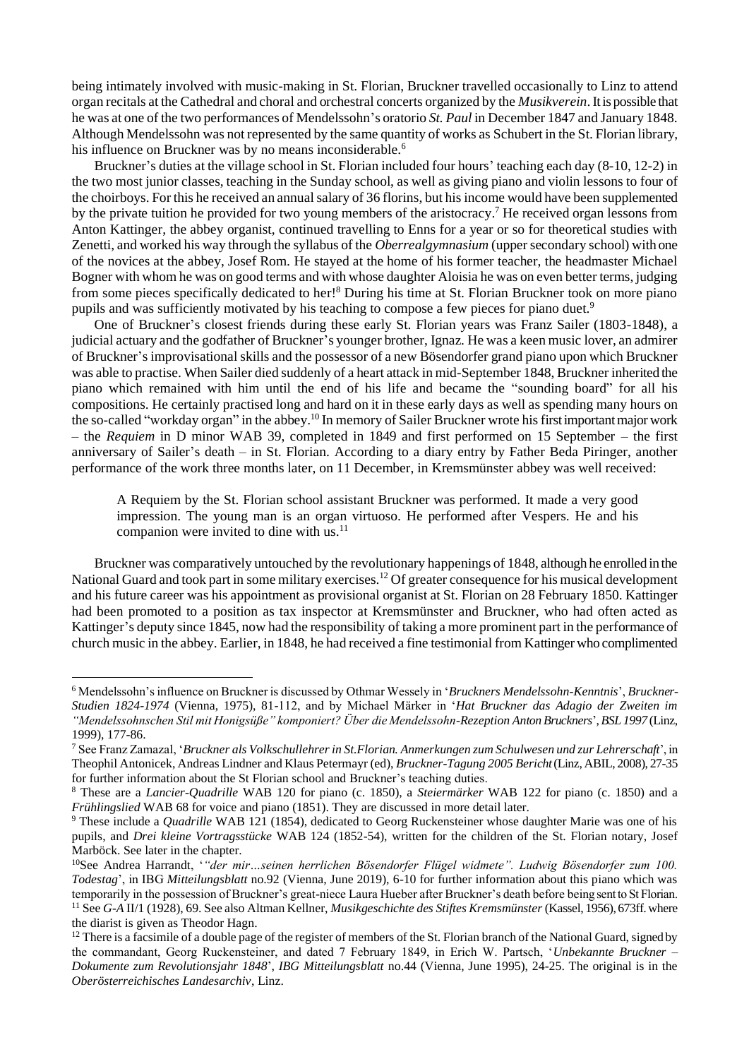being intimately involved with music-making in St. Florian, Bruckner travelled occasionally to Linz to attend organ recitals at the Cathedral and choral and orchestral concerts organized by the *Musikverein*.It is possible that he was at one of the two performances of Mendelssohn's oratorio *St. Paul* in December 1847 and January 1848. Although Mendelssohn was not represented by the same quantity of works as Schubert in the St. Florian library, his influence on Bruckner was by no means inconsiderable.<sup>6</sup>

Bruckner's duties at the village school in St. Florian included four hours' teaching each day (8-10, 12-2) in the two most junior classes, teaching in the Sunday school, as well as giving piano and violin lessons to four of the choirboys. For this he received an annual salary of 36 florins, but his income would have been supplemented by the private tuition he provided for two young members of the aristocracy. <sup>7</sup> He received organ lessons from Anton Kattinger, the abbey organist, continued travelling to Enns for a year or so for theoretical studies with Zenetti, and worked his way through the syllabus of the *Oberrealgymnasium* (upper secondary school) with one of the novices at the abbey, Josef Rom. He stayed at the home of his former teacher, the headmaster Michael Bogner with whom he was on good terms and with whose daughter Aloisia he was on even better terms, judging from some pieces specifically dedicated to her!<sup>8</sup> During his time at St. Florian Bruckner took on more piano pupils and was sufficiently motivated by his teaching to compose a few pieces for piano duet.<sup>9</sup>

One of Bruckner's closest friends during these early St. Florian years was Franz Sailer (1803-1848), a judicial actuary and the godfather of Bruckner's younger brother, Ignaz. He was a keen music lover, an admirer of Bruckner's improvisational skills and the possessor of a new Bösendorfer grand piano upon which Bruckner was able to practise. When Sailer died suddenly of a heart attack in mid-September 1848, Bruckner inherited the piano which remained with him until the end of his life and became the "sounding board" for all his compositions. He certainly practised long and hard on it in these early days as well as spending many hours on the so-called "workday organ" in the abbey.<sup>10</sup> In memory of Sailer Bruckner wrote his first important major work – the *Requiem* in D minor WAB 39, completed in 1849 and first performed on 15 September – the first anniversary of Sailer's death – in St. Florian. According to a diary entry by Father Beda Piringer, another performance of the work three months later, on 11 December, in Kremsmünster abbey was well received:

A Requiem by the St. Florian school assistant Bruckner was performed. It made a very good impression. The young man is an organ virtuoso. He performed after Vespers. He and his companion were invited to dine with us.<sup>11</sup>

Bruckner was comparatively untouched by the revolutionary happenings of 1848, although he enrolled in the National Guard and took part in some military exercises.<sup>12</sup> Of greater consequence for his musical development and his future career was his appointment as provisional organist at St. Florian on 28 February 1850. Kattinger had been promoted to a position as tax inspector at Kremsmünster and Bruckner, who had often acted as Kattinger's deputy since 1845, now had the responsibility of taking a more prominent part in the performance of church music in the abbey. Earlier, in 1848, he had received a fine testimonial from Kattinger who complimented

<sup>6</sup> Mendelssohn's influence on Bruckner is discussed by Othmar Wessely in '*Bruckners Mendelssohn-Kenntnis*', *Bruckner-Studien 1824-1974* (Vienna, 1975), 81-112, and by Michael Märker in '*Hat Bruckner das Adagio der Zweiten im "Mendelssohnschen Stil mit Honigsüße" komponiert? Über die Mendelssohn-Rezeption Anton Bruckners*', *BSL 1997* (Linz, 1999), 177-86.

<sup>7</sup>See Franz Zamazal, '*Bruckner als Volkschullehrer in St.Florian. Anmerkungen zum Schulwesen und zur Lehrerschaft*', in Theophil Antonicek, Andreas Lindner and Klaus Petermayr (ed), *Bruckner-Tagung 2005 Bericht* (Linz, ABIL, 2008), 27-35 for further information about the St Florian school and Bruckner's teaching duties.

<sup>8</sup> These are a *Lancier-Quadrille* WAB 120 for piano (c. 1850), a *Steiermärker* WAB 122 for piano (c. 1850) and a *Frühlingslied* WAB 68 for voice and piano (1851). They are discussed in more detail later.

<sup>&</sup>lt;sup>9</sup> These include a *Quadrille* WAB 121 (1854), dedicated to Georg Ruckensteiner whose daughter Marie was one of his pupils, and *Drei kleine Vortragsstücke* WAB 124 (1852-54), written for the children of the St. Florian notary, Josef Marböck. See later in the chapter.

<sup>10</sup>See Andrea Harrandt, '*"der mir…seinen herrlichen Bösendorfer Flügel widmete". Ludwig Bösendorfer zum 100. Todestag*', in IBG *Mitteilungsblatt* no.92 (Vienna, June 2019), 6-10 for further information about this piano which was temporarily in the possession of Bruckner's great-niece Laura Hueber after Bruckner's death before being sent to St Florian. <sup>11</sup>See *G-A* II/1 (1928), 69. See also Altman Kellner, *Musikgeschichte des Stiftes Kremsmünster* (Kassel, 1956), 673ff. where the diarist is given as Theodor Hagn.

 $12$  There is a facsimile of a double page of the register of members of the St. Florian branch of the National Guard, signed by the commandant, Georg Ruckensteiner, and dated 7 February 1849, in Erich W. Partsch, '*Unbekannte Bruckner – Dokumente zum Revolutionsjahr 1848*', *IBG Mitteilungsblatt* no.44 (Vienna, June 1995), 24-25. The original is in the *Oberösterreichisches Landesarchiv*, Linz.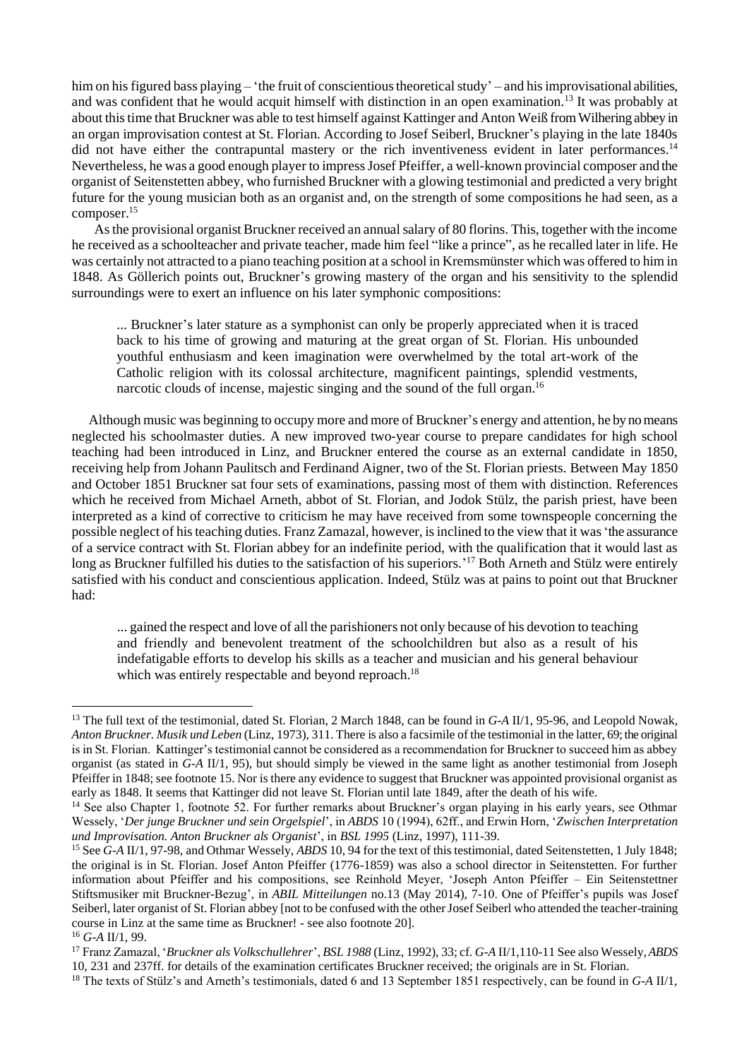him on his figured bass playing – 'the fruit of conscientious theoretical study' – and his improvisational abilities, and was confident that he would acquit himself with distinction in an open examination.<sup>13</sup> It was probably at about this time that Bruckner was able to test himself against Kattinger and Anton Weiß from Wilhering abbey in an organ improvisation contest at St. Florian. According to Josef Seiberl, Bruckner's playing in the late 1840s did not have either the contrapuntal mastery or the rich inventiveness evident in later performances.<sup>14</sup> Nevertheless, he was a good enough player to impress Josef Pfeiffer, a well-known provincial composer and the organist of Seitenstetten abbey, who furnished Bruckner with a glowing testimonial and predicted a very bright future for the young musician both as an organist and, on the strength of some compositions he had seen, as a composer.<sup>15</sup>

As the provisional organist Bruckner received an annual salary of 80 florins. This, together with the income he received as a schoolteacher and private teacher, made him feel "like a prince", as he recalled later in life. He was certainly not attracted to a piano teaching position at a school in Kremsmünster which was offered to him in 1848. As Göllerich points out, Bruckner's growing mastery of the organ and his sensitivity to the splendid surroundings were to exert an influence on his later symphonic compositions:

... Bruckner's later stature as a symphonist can only be properly appreciated when it is traced back to his time of growing and maturing at the great organ of St. Florian. His unbounded youthful enthusiasm and keen imagination were overwhelmed by the total art-work of the Catholic religion with its colossal architecture, magnificent paintings, splendid vestments, narcotic clouds of incense, majestic singing and the sound of the full organ.<sup>16</sup>

Although music was beginning to occupy more and more of Bruckner's energy and attention, he by no means neglected his schoolmaster duties. A new improved two-year course to prepare candidates for high school teaching had been introduced in Linz, and Bruckner entered the course as an external candidate in 1850, receiving help from Johann Paulitsch and Ferdinand Aigner, two of the St. Florian priests. Between May 1850 and October 1851 Bruckner sat four sets of examinations, passing most of them with distinction. References which he received from Michael Arneth, abbot of St. Florian, and Jodok Stülz, the parish priest, have been interpreted as a kind of corrective to criticism he may have received from some townspeople concerning the possible neglect of his teaching duties. Franz Zamazal, however, is inclined to the view that it was 'the assurance of a service contract with St. Florian abbey for an indefinite period, with the qualification that it would last as long as Bruckner fulfilled his duties to the satisfaction of his superiors.'<sup>17</sup> Both Arneth and Stülz were entirely satisfied with his conduct and conscientious application. Indeed, Stülz was at pains to point out that Bruckner had:

... gained the respect and love of all the parishioners not only because of his devotion to teaching and friendly and benevolent treatment of the schoolchildren but also as a result of his indefatigable efforts to develop his skills as a teacher and musician and his general behaviour which was entirely respectable and beyond reproach.<sup>18</sup>

<sup>13</sup> The full text of the testimonial, dated St. Florian, 2 March 1848, can be found in *G-A* II/1, 95-96, and Leopold Nowak, *Anton Bruckner. Musik und Leben* (Linz, 1973), 311. There is also a facsimile of the testimonial in the latter, 69; the original is in St. Florian. Kattinger's testimonial cannot be considered as a recommendation for Bruckner to succeed him as abbey organist (as stated in *G-A* II/1, 95), but should simply be viewed in the same light as another testimonial from Joseph Pfeiffer in 1848; see footnote 15. Nor is there any evidence to suggest that Bruckner was appointed provisional organist as early as 1848. It seems that Kattinger did not leave St. Florian until late 1849, after the death of his wife.

<sup>&</sup>lt;sup>14</sup> See also Chapter 1, footnote 52. For further remarks about Bruckner's organ playing in his early years, see Othmar Wessely, '*Der junge Bruckner und sein Orgelspiel*', in *ABDS* 10 (1994), 62ff., and Erwin Horn, '*Zwischen Interpretation und Improvisation. Anton Bruckner als Organist*', in *BSL 1995* (Linz, 1997), 111-39.

<sup>&</sup>lt;sup>15</sup> See *G-A* II/1, 97-98, and Othmar Wessely, *ABDS* 10, 94 for the text of this testimonial, dated Seitenstetten, 1 July 1848; the original is in St. Florian. Josef Anton Pfeiffer (1776-1859) was also a school director in Seitenstetten. For further information about Pfeiffer and his compositions, see Reinhold Meyer, 'Joseph Anton Pfeiffer – Ein Seitenstettner Stiftsmusiker mit Bruckner-Bezug', in *ABIL Mitteilungen* no.13 (May 2014), 7-10. One of Pfeiffer's pupils was Josef Seiberl, later organist of St. Florian abbey [not to be confused with the other Josef Seiberl who attended the teacher-training course in Linz at the same time as Bruckner! - see also footnote 20].

<sup>16</sup> *G-A* II/1, 99.

<sup>17</sup>Franz Zamazal, '*Bruckner als Volkschullehrer*', *BSL 1988* (Linz, 1992), 33; cf. *G-A* II/1,110-11 See also Wessely, *ABDS*  10, 231 and 237ff. for details of the examination certificates Bruckner received; the originals are in St. Florian.

<sup>18</sup> The texts of Stülz's and Arneth's testimonials, dated 6 and 13 September 1851 respectively, can be found in *G-A* II/1,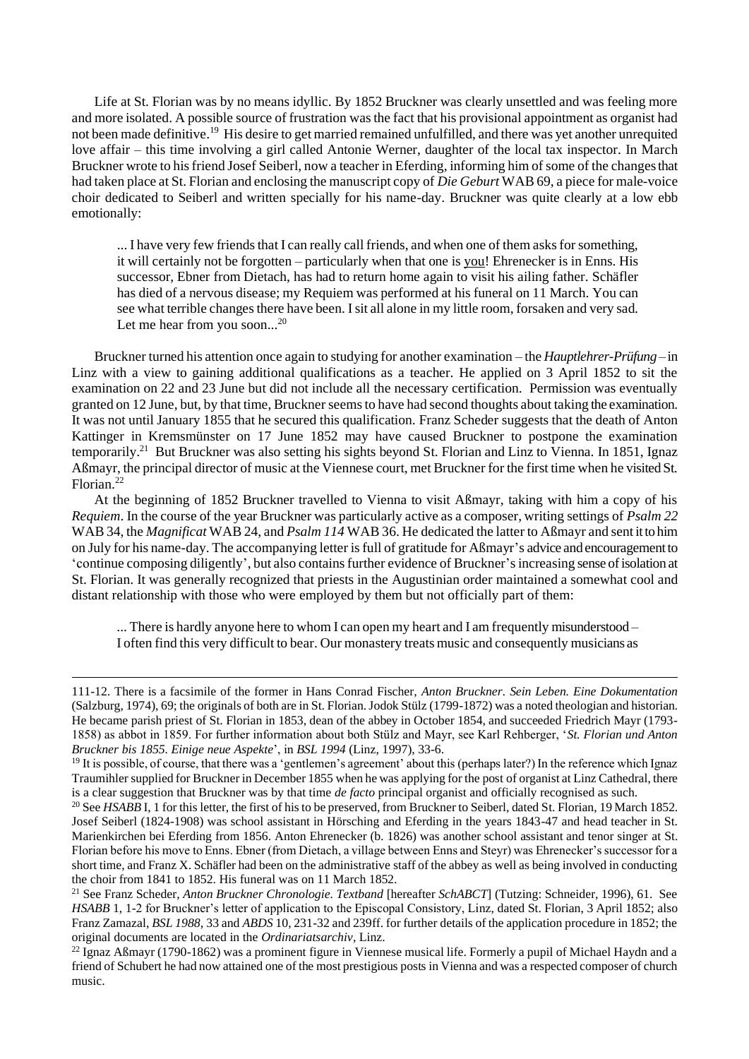Life at St. Florian was by no means idyllic. By 1852 Bruckner was clearly unsettled and was feeling more and more isolated. A possible source of frustration was the fact that his provisional appointment as organist had not been made definitive.<sup>19</sup> His desire to get married remained unfulfilled, and there was yet another unrequited love affair – this time involving a girl called Antonie Werner, daughter of the local tax inspector. In March Bruckner wrote to his friend Josef Seiberl, now a teacher in Eferding, informing him of some of the changes that had taken place at St. Florian and enclosing the manuscript copy of *Die Geburt* WAB 69, a piece for male-voice choir dedicated to Seiberl and written specially for his name-day. Bruckner was quite clearly at a low ebb emotionally:

... I have very few friends that I can really call friends, and when one of them asks for something, it will certainly not be forgotten – particularly when that one is you! Ehrenecker is in Enns. His successor, Ebner from Dietach, has had to return home again to visit his ailing father. Schäfler has died of a nervous disease; my Requiem was performed at his funeral on 11 March. You can see what terrible changes there have been. I sit all alone in my little room, forsaken and very sad. Let me hear from you soon...<sup>20</sup>

Bruckner turned his attention once again to studying for another examination – the *Hauptlehrer-Prüfung* – in Linz with a view to gaining additional qualifications as a teacher. He applied on 3 April 1852 to sit the examination on 22 and 23 June but did not include all the necessary certification. Permission was eventually granted on 12 June, but, by that time, Bruckner seems to have had second thoughts about taking the examination. It was not until January 1855 that he secured this qualification. Franz Scheder suggests that the death of Anton Kattinger in Kremsmünster on 17 June 1852 may have caused Bruckner to postpone the examination temporarily.<sup>21</sup> But Bruckner was also setting his sights beyond St. Florian and Linz to Vienna. In 1851, Ignaz Aßmayr, the principal director of music at the Viennese court, met Bruckner for the first time when he visited St. Florian.<sup>22</sup>

At the beginning of 1852 Bruckner travelled to Vienna to visit Aßmayr, taking with him a copy of his *Requiem*. In the course of the year Bruckner was particularly active as a composer, writing settings of *Psalm 22* WAB 34, the *Magnificat* WAB 24, and *Psalm 114* WAB 36. He dedicated the latter to Aßmayr and sent it to him on July for his name-day. The accompanying letter is full of gratitude for Aßmayr's advice and encouragement to 'continue composing diligently', but also contains further evidence of Bruckner's increasing sense of isolation at St. Florian. It was generally recognized that priests in the Augustinian order maintained a somewhat cool and distant relationship with those who were employed by them but not officially part of them:

... There is hardly anyone here to whom I can open my heart and I am frequently misunderstood – I often find this very difficult to bear. Our monastery treats music and consequently musicians as

<sup>111-12.</sup> There is a facsimile of the former in Hans Conrad Fischer, *Anton Bruckner. Sein Leben. Eine Dokumentation* (Salzburg, 1974), 69; the originals of both are in St. Florian. Jodok Stülz (1799-1872) was a noted theologian and historian. He became parish priest of St. Florian in 1853, dean of the abbey in October 1854, and succeeded Friedrich Mayr (1793- 1858) as abbot in 1859. For further information about both Stülz and Mayr, see Karl Rehberger, '*St. Florian und Anton Bruckner bis 1855. Einige neue Aspekte*', in *BSL 1994* (Linz, 1997), 33-6.

 $19$  It is possible, of course, that there was a 'gentlemen's agreement' about this (perhaps later?) In the reference which Ignaz Traumihler supplied for Bruckner in December 1855 when he was applying for the post of organist at Linz Cathedral, there is a clear suggestion that Bruckner was by that time *de facto* principal organist and officially recognised as such.

<sup>&</sup>lt;sup>20</sup> See *HSABB* I, 1 for this letter, the first of his to be preserved, from Bruckner to Seiberl, dated St. Florian, 19 March 1852. Josef Seiberl (1824-1908) was school assistant in Hörsching and Eferding in the years 1843-47 and head teacher in St. Marienkirchen bei Eferding from 1856. Anton Ehrenecker (b. 1826) was another school assistant and tenor singer at St. Florian before his move to Enns. Ebner (from Dietach, a village between Enns and Steyr) was Ehrenecker's successor for a short time, and Franz X. Schäfler had been on the administrative staff of the abbey as well as being involved in conducting the choir from 1841 to 1852. His funeral was on 11 March 1852.

<sup>21</sup> See Franz Scheder, *Anton Bruckner Chronologie. Textband* [hereafter *SchABCT*] (Tutzing: Schneider, 1996), 61. See *HSABB* 1, 1-2 for Bruckner's letter of application to the Episcopal Consistory, Linz, dated St. Florian, 3 April 1852; also Franz Zamazal, *BSL 1988*, 33 and *ABDS* 10, 231-32 and 239ff. for further details of the application procedure in 1852; the original documents are located in the *Ordinariatsarchiv*, Linz.

 $^{22}$  Ignaz Aßmayr (1790-1862) was a prominent figure in Viennese musical life. Formerly a pupil of Michael Haydn and a friend of Schubert he had now attained one of the most prestigious posts in Vienna and was a respected composer of church music.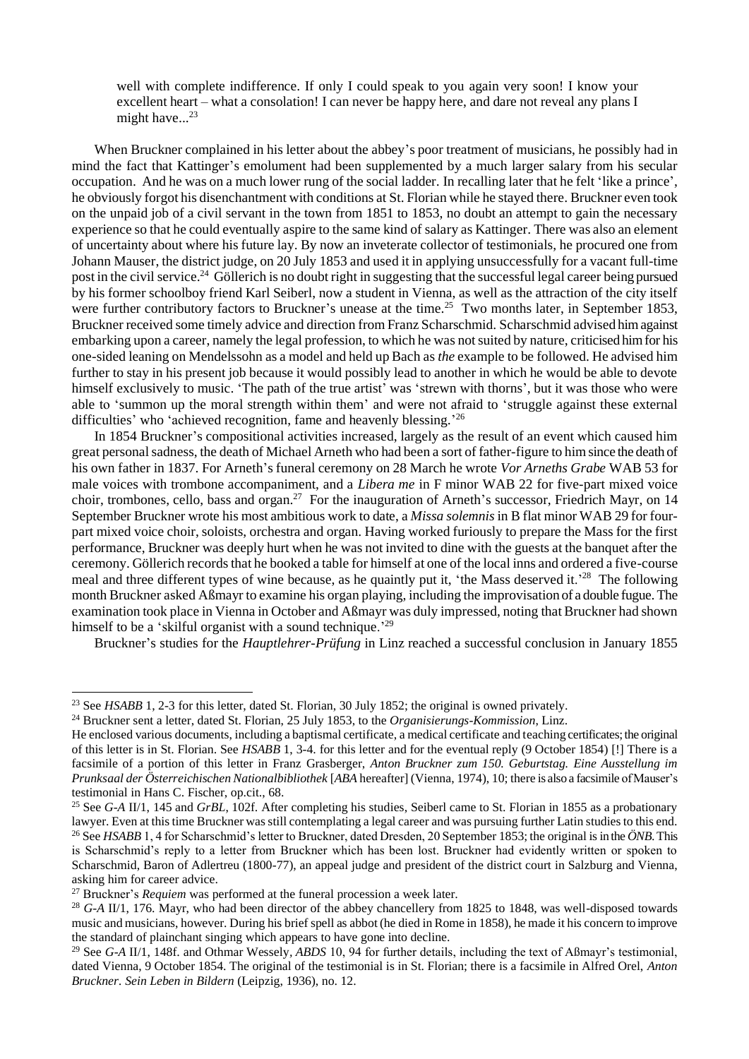well with complete indifference. If only I could speak to you again very soon! I know your excellent heart – what a consolation! I can never be happy here, and dare not reveal any plans I might have... $23$ 

When Bruckner complained in his letter about the abbey's poor treatment of musicians, he possibly had in mind the fact that Kattinger's emolument had been supplemented by a much larger salary from his secular occupation. And he was on a much lower rung of the social ladder. In recalling later that he felt 'like a prince', he obviously forgot his disenchantment with conditions at St. Florian while he stayed there. Bruckner even took on the unpaid job of a civil servant in the town from 1851 to 1853, no doubt an attempt to gain the necessary experience so that he could eventually aspire to the same kind of salary as Kattinger. There was also an element of uncertainty about where his future lay. By now an inveterate collector of testimonials, he procured one from Johann Mauser, the district judge, on 20 July 1853 and used it in applying unsuccessfully for a vacant full-time post in the civil service.<sup>24</sup> Göllerich is no doubt right in suggesting that the successful legal career being pursued by his former schoolboy friend Karl Seiberl, now a student in Vienna, as well as the attraction of the city itself were further contributory factors to Bruckner's unease at the time.<sup>25</sup> Two months later, in September 1853, Bruckner received some timely advice and direction from Franz Scharschmid. Scharschmid advised him against embarking upon a career, namely the legal profession, to which he was not suited by nature, criticised him for his one-sided leaning on Mendelssohn as a model and held up Bach as *the* example to be followed. He advised him further to stay in his present job because it would possibly lead to another in which he would be able to devote himself exclusively to music. 'The path of the true artist' was 'strewn with thorns', but it was those who were able to 'summon up the moral strength within them' and were not afraid to 'struggle against these external difficulties' who 'achieved recognition, fame and heavenly blessing.'<sup>26</sup>

In 1854 Bruckner's compositional activities increased, largely as the result of an event which caused him great personal sadness, the death of Michael Arneth who had been a sort of father-figure to him since the death of his own father in 1837. For Arneth's funeral ceremony on 28 March he wrote *Vor Arneths Grabe* WAB 53 for male voices with trombone accompaniment, and a *Libera me* in F minor WAB 22 for five-part mixed voice choir, trombones, cello, bass and organ.<sup>27</sup> For the inauguration of Arneth's successor, Friedrich Mayr, on 14 September Bruckner wrote his most ambitious work to date, a *Missa solemnis* in B flat minor WAB 29 for fourpart mixed voice choir, soloists, orchestra and organ. Having worked furiously to prepare the Mass for the first performance, Bruckner was deeply hurt when he was not invited to dine with the guests at the banquet after the ceremony. Göllerich records that he booked a table for himself at one of the local inns and ordered a five-course meal and three different types of wine because, as he quaintly put it, 'the Mass deserved it.'<sup>28</sup> The following month Bruckner asked Aßmayr to examine his organ playing, including the improvisation of a double fugue. The examination took place in Vienna in October and Aßmayr was duly impressed, noting that Bruckner had shown himself to be a 'skilful organist with a sound technique.'<sup>29</sup>

Bruckner's studies for the *Hauptlehrer-Prüfung* in Linz reached a successful conclusion in January 1855

<sup>&</sup>lt;sup>23</sup> See *HSABB* 1, 2-3 for this letter, dated St. Florian, 30 July 1852; the original is owned privately.

<sup>24</sup> Bruckner sent a letter, dated St. Florian, 25 July 1853, to the *Organisierungs-Kommission*, Linz.

He enclosed various documents, including a baptismal certificate, a medical certificate and teaching certificates; the original of this letter is in St. Florian. See *HSABB* 1, 3-4. for this letter and for the eventual reply (9 October 1854) [!] There is a facsimile of a portion of this letter in Franz Grasberger, *Anton Bruckner zum 150. Geburtstag. Eine Ausstellung im Prunksaal der Österreichischen Nationalbibliothek* [*ABA* hereafter] (Vienna, 1974), 10; there is also a facsimile of Mauser's testimonial in Hans C. Fischer, op.cit., 68.

<sup>25</sup> See *G-A* II/1, 145 and *GrBL*, 102f. After completing his studies, Seiberl came to St. Florian in 1855 as a probationary lawyer. Even at this time Bruckner was still contemplating a legal career and was pursuing further Latin studies to this end. <sup>26</sup> See *HSABB* 1, 4 for Scharschmid's letter to Bruckner, dated Dresden, 20 September 1853; the original is in the  $\ddot{O}NB$ . This is Scharschmid's reply to a letter from Bruckner which has been lost. Bruckner had evidently written or spoken to Scharschmid, Baron of Adlertreu (1800-77), an appeal judge and president of the district court in Salzburg and Vienna, asking him for career advice.

<sup>27</sup> Bruckner's *Requiem* was performed at the funeral procession a week later.

<sup>28</sup> *G-A* II/1, 176. Mayr, who had been director of the abbey chancellery from 1825 to 1848, was well-disposed towards music and musicians, however. During his brief spell as abbot (he died in Rome in 1858), he made it his concern to improve the standard of plainchant singing which appears to have gone into decline.

<sup>29</sup> See *G-A* II/1, 148f. and Othmar Wessely*, ABDS* 10, 94 for further details, including the text of Aßmayr's testimonial, dated Vienna, 9 October 1854. The original of the testimonial is in St. Florian; there is a facsimile in Alfred Orel, *Anton Bruckner. Sein Leben in Bildern* (Leipzig, 1936), no. 12.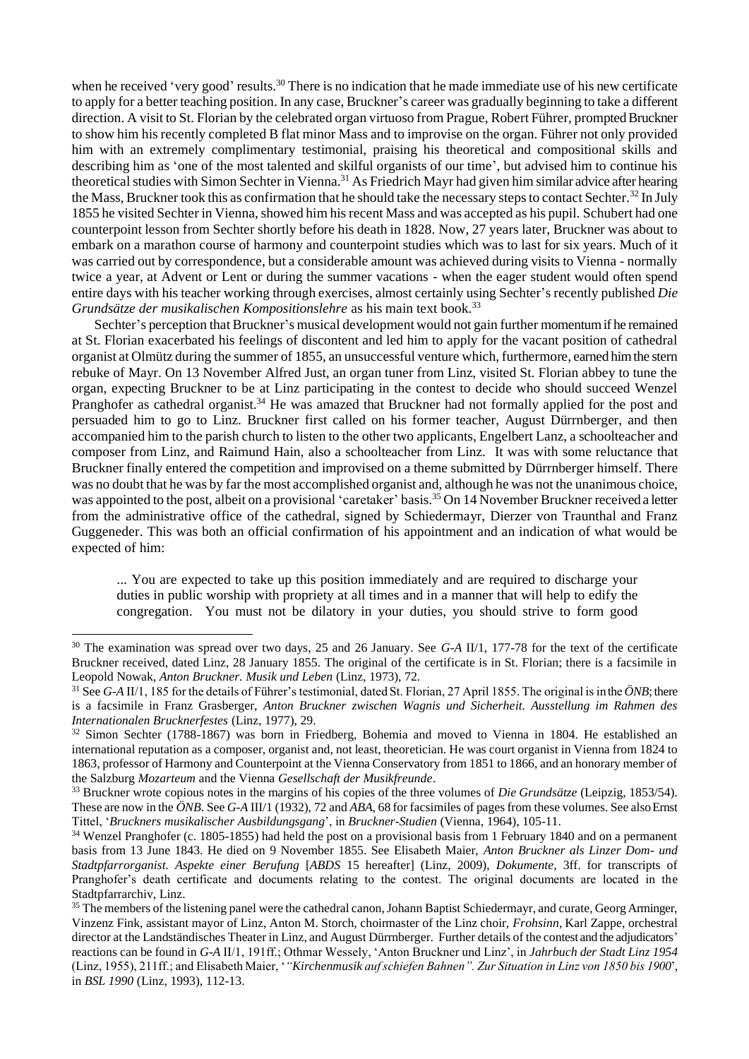when he received 'very good' results.<sup>30</sup> There is no indication that he made immediate use of his new certificate to apply for a better teaching position. In any case, Bruckner's career was gradually beginning to take a different direction. A visit to St. Florian by the celebrated organ virtuoso from Prague, Robert Führer, prompted Bruckner to show him his recently completed B flat minor Mass and to improvise on the organ. Führer not only provided him with an extremely complimentary testimonial, praising his theoretical and compositional skills and describing him as 'one of the most talented and skilful organists of our time', but advised him to continue his theoretical studies with Simon Sechter in Vienna.<sup>31</sup> As Friedrich Mayr had given him similar advice after hearing the Mass, Bruckner took this as confirmation that he should take the necessary steps to contact Sechter.<sup>32</sup> In July 1855 he visited Sechter in Vienna, showed him his recent Mass and was accepted as his pupil. Schubert had one counterpoint lesson from Sechter shortly before his death in 1828. Now, 27 years later, Bruckner was about to embark on a marathon course of harmony and counterpoint studies which was to last for six years. Much of it was carried out by correspondence, but a considerable amount was achieved during visits to Vienna - normally twice a year, at Advent or Lent or during the summer vacations - when the eager student would often spend entire days with his teacher working through exercises, almost certainly using Sechter's recently published *Die Grundsätze der musikalischen Kompositionslehre* as his main text book.<sup>33</sup>

Sechter's perception that Bruckner's musical development would not gain further momentum if he remained at St. Florian exacerbated his feelings of discontent and led him to apply for the vacant position of cathedral organist at Olmütz during the summer of 1855, an unsuccessful venture which, furthermore, earned him the stern rebuke of Mayr. On 13 November Alfred Just, an organ tuner from Linz, visited St. Florian abbey to tune the organ, expecting Bruckner to be at Linz participating in the contest to decide who should succeed Wenzel Pranghofer as cathedral organist.<sup>34</sup> He was amazed that Bruckner had not formally applied for the post and persuaded him to go to Linz. Bruckner first called on his former teacher, August Dürrnberger, and then accompanied him to the parish church to listen to the other two applicants, Engelbert Lanz, a schoolteacher and composer from Linz, and Raimund Hain, also a schoolteacher from Linz. It was with some reluctance that Bruckner finally entered the competition and improvised on a theme submitted by Dürrnberger himself. There was no doubt that he was by far the most accomplished organist and, although he was not the unanimous choice, was appointed to the post, albeit on a provisional 'caretaker' basis.<sup>35</sup> On 14 November Bruckner received a letter from the administrative office of the cathedral, signed by Schiedermayr, Dierzer von Traunthal and Franz Guggeneder. This was both an official confirmation of his appointment and an indication of what would be expected of him:

... You are expected to take up this position immediately and are required to discharge your duties in public worship with propriety at all times and in a manner that will help to edify the congregation. You must not be dilatory in your duties, you should strive to form good

<sup>30</sup> The examination was spread over two days, 25 and 26 January. See *G-A* II/1, 177-78 for the text of the certificate Bruckner received, dated Linz, 28 January 1855. The original of the certificate is in St. Florian; there is a facsimile in Leopold Nowak, *Anton Bruckner. Musik und Leben* (Linz, 1973), 72.

<sup>&</sup>lt;sup>31</sup> See *G-A* II/1, 185 for the details of Führer's testimonial, dated St. Florian, 27 April 1855. The original is in the  $\ddot{O}NB$ ; there is a facsimile in Franz Grasberger, *Anton Bruckner zwischen Wagnis und Sicherheit. Ausstellung im Rahmen des Internationalen Brucknerfestes* (Linz, 1977), 29.

<sup>&</sup>lt;sup>32</sup> Simon Sechter (1788-1867) was born in Friedberg, Bohemia and moved to Vienna in 1804. He established an international reputation as a composer, organist and, not least, theoretician. He was court organist in Vienna from 1824 to 1863, professor of Harmony and Counterpoint at the Vienna Conservatory from 1851 to 1866, and an honorary member of the Salzburg *Mozarteum* and the Vienna *Gesellschaft der Musikfreunde*.

<sup>33</sup> Bruckner wrote copious notes in the margins of his copies of the three volumes of *Die Grundsätze* (Leipzig, 1853/54). These are now in the *ÖNB*. See *G-A* III/1 (1932), 72 and *ABA*, 68 for facsimiles of pages from these volumes. See also Ernst Tittel, '*Bruckners musikalischer Ausbildungsgang*', in *Bruckner-Studien* (Vienna, 1964), 105-11.

<sup>&</sup>lt;sup>34</sup> Wenzel Pranghofer (c. 1805-1855) had held the post on a provisional basis from 1 February 1840 and on a permanent basis from 13 June 1843. He died on 9 November 1855. See Elisabeth Maier, *Anton Bruckner als Linzer Dom- und Stadtpfarrorganist. Aspekte einer Berufung* [*ABDS* 15 hereafter] (Linz, 2009), *Dokumente*, 3ff. for transcripts of Pranghofer's death certificate and documents relating to the contest. The original documents are located in the Stadtpfarrarchiv, Linz.

<sup>&</sup>lt;sup>35</sup> The members of the listening panel were the cathedral canon, Johann Baptist Schiedermayr, and curate, Georg Arminger, Vinzenz Fink, assistant mayor of Linz, Anton M. Storch, choirmaster of the Linz choir, *Frohsinn*, Karl Zappe, orchestral director at the Landständisches Theater in Linz, and August Dürrnberger. Further details of the contest and the adjudicators' reactions can be found in *G-A* II/1, 191ff.; Othmar Wessely, 'Anton Bruckner und Linz', in *Jahrbuch der Stadt Linz 1954* (Linz, 1955), 211ff.; and Elisabeth Maier, '*"Kirchenmusik auf schiefen Bahnen". Zur Situation in Linz von 1850 bis 1900*', in *BSL 1990* (Linz, 1993), 112-13.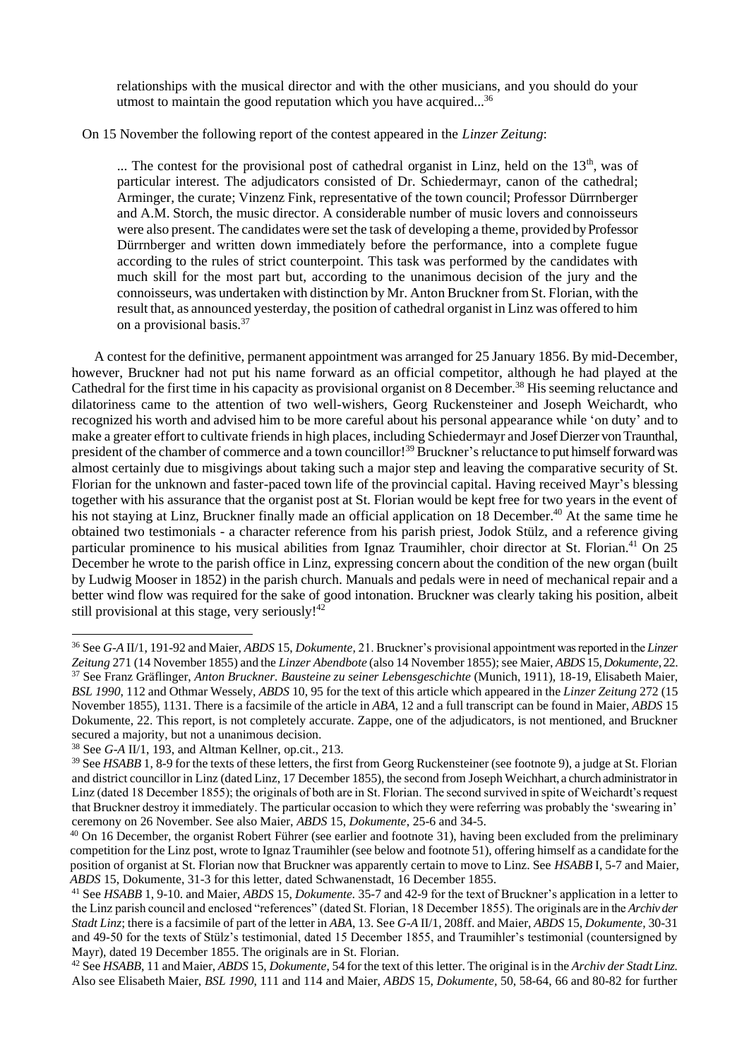relationships with the musical director and with the other musicians, and you should do your utmost to maintain the good reputation which you have acquired...<sup>36</sup>

## On 15 November the following report of the contest appeared in the *Linzer Zeitung*:

 $\ldots$  The contest for the provisional post of cathedral organist in Linz, held on the 13<sup>th</sup>, was of particular interest. The adjudicators consisted of Dr. Schiedermayr, canon of the cathedral; Arminger, the curate; Vinzenz Fink, representative of the town council; Professor Dürrnberger and A.M. Storch, the music director. A considerable number of music lovers and connoisseurs were also present. The candidates were set the task of developing a theme, provided by Professor Dürrnberger and written down immediately before the performance, into a complete fugue according to the rules of strict counterpoint. This task was performed by the candidates with much skill for the most part but, according to the unanimous decision of the jury and the connoisseurs, was undertaken with distinction by Mr. Anton Bruckner from St. Florian, with the result that, as announced yesterday, the position of cathedral organist in Linz was offered to him on a provisional basis.<sup>37</sup>

A contest for the definitive, permanent appointment was arranged for 25 January 1856. By mid-December, however, Bruckner had not put his name forward as an official competitor, although he had played at the Cathedral for the first time in his capacity as provisional organist on 8 December.<sup>38</sup> His seeming reluctance and dilatoriness came to the attention of two well-wishers, Georg Ruckensteiner and Joseph Weichardt, who recognized his worth and advised him to be more careful about his personal appearance while 'on duty' and to make a greater effort to cultivate friends in high places, including Schiedermayr and Josef Dierzer von Traunthal, president of the chamber of commerce and a town councillor!<sup>39</sup> Bruckner's reluctance to put himself forward was almost certainly due to misgivings about taking such a major step and leaving the comparative security of St. Florian for the unknown and faster-paced town life of the provincial capital. Having received Mayr's blessing together with his assurance that the organist post at St. Florian would be kept free for two years in the event of his not staying at Linz, Bruckner finally made an official application on 18 December.<sup>40</sup> At the same time he obtained two testimonials - a character reference from his parish priest, Jodok Stülz, and a reference giving particular prominence to his musical abilities from Ignaz Traumihler, choir director at St. Florian.<sup>41</sup> On 25 December he wrote to the parish office in Linz, expressing concern about the condition of the new organ (built by Ludwig Mooser in 1852) in the parish church. Manuals and pedals were in need of mechanical repair and a better wind flow was required for the sake of good intonation. Bruckner was clearly taking his position, albeit still provisional at this stage, very seriously!<sup>42</sup>

<sup>36</sup>See *G-A* II/1, 191-92 and Maier, *ABDS* 15, *Dokumente,* 21. Bruckner's provisional appointment was reported in the *Linzer Zeitung* 271 (14 November 1855) and the *Linzer Abendbote* (also 14 November 1855); see Maier, *ABDS* 15, *Dokumente*, 22. <sup>37</sup> See Franz Gräflinger, *Anton Bruckner. Bausteine zu seiner Lebensgeschichte* (Munich, 1911), 18-19, Elisabeth Maier, *BSL 1990*, 112 and Othmar Wessely, *ABDS* 10, 95 for the text of this article which appeared in the *Linzer Zeitung* 272 (15 November 1855), 1131. There is a facsimile of the article in *ABA*, 12 and a full transcript can be found in Maier, *ABDS* 15 Dokumente, 22. This report, is not completely accurate. Zappe, one of the adjudicators, is not mentioned, and Bruckner secured a majority, but not a unanimous decision.

<sup>38</sup> See *G-A* II/1, 193, and Altman Kellner, op.cit., 213.

<sup>&</sup>lt;sup>39</sup> See *HSABB* 1, 8-9 for the texts of these letters, the first from Georg Ruckensteiner (see footnote 9), a judge at St. Florian and district councillor in Linz (dated Linz, 17 December 1855), the second from Joseph Weichhart, a church administrator in Linz (dated 18 December 1855); the originals of both are in St. Florian. The second survived in spite of Weichardt's request that Bruckner destroy it immediately. The particular occasion to which they were referring was probably the 'swearing in' ceremony on 26 November. See also Maier, *ABDS* 15, *Dokumente*, 25-6 and 34-5.

<sup>&</sup>lt;sup>40</sup> On 16 December, the organist Robert Führer (see earlier and footnote 31), having been excluded from the preliminary competition for the Linz post, wrote to Ignaz Traumihler (see below and footnote 51), offering himself as a candidate for the position of organist at St. Florian now that Bruckner was apparently certain to move to Linz. See *HSABB* I, 5-7 and Maier, *ABDS* 15, Dokumente, 31-3 for this letter, dated Schwanenstadt, 16 December 1855.

<sup>41</sup> See *HSABB* 1, 9-10. and Maier, *ABDS* 15, *Dokumente.* 35-7 and 42-9 for the text of Bruckner's application in a letter to the Linz parish council and enclosed "references" (dated St. Florian, 18 December 1855). The originals are in the *Archiv der Stadt Linz*; there is a facsimile of part of the letter in *ABA*, 13. See *G-A* II/1, 208ff. and Maier, *ABDS* 15, *Dokumente,* 30-31 and 49-50 for the texts of Stülz's testimonial, dated 15 December 1855, and Traumihler's testimonial (countersigned by Mayr), dated 19 December 1855. The originals are in St. Florian.

<sup>42</sup>See *HSABB*, 11 and Maier, *ABDS* 15, *Dokumente*, 54 for the text of this letter. The original is in the *Archiv der Stadt Linz.* Also see Elisabeth Maier, *BSL 1990*, 111 and 114 and Maier, *ABDS* 15, *Dokumente,* 50, 58-64, 66 and 80-82 for further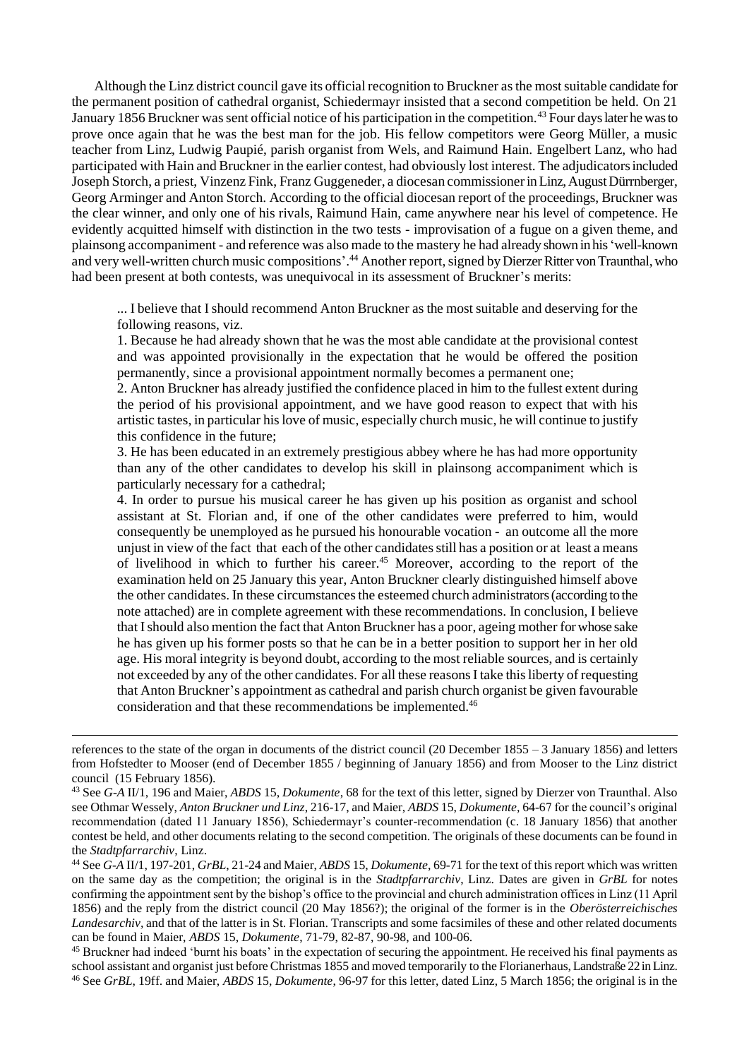Although the Linz district council gave its official recognition to Bruckner as the most suitable candidate for the permanent position of cathedral organist, Schiedermayr insisted that a second competition be held. On 21 January 1856 Bruckner was sent official notice of his participation in the competition.<sup>43</sup> Four days later he was to prove once again that he was the best man for the job. His fellow competitors were Georg Müller, a music teacher from Linz, Ludwig Paupié, parish organist from Wels, and Raimund Hain. Engelbert Lanz, who had participated with Hain and Bruckner in the earlier contest, had obviously lost interest. The adjudicators included Joseph Storch, a priest, Vinzenz Fink, Franz Guggeneder, a diocesan commissioner in Linz, August Dürrnberger, Georg Arminger and Anton Storch. According to the official diocesan report of the proceedings, Bruckner was the clear winner, and only one of his rivals, Raimund Hain, came anywhere near his level of competence. He evidently acquitted himself with distinction in the two tests - improvisation of a fugue on a given theme, and plainsong accompaniment - and reference was also made to the mastery he had already shown in his 'well-known and very well-written church music compositions'. <sup>44</sup> Another report, signed by Dierzer Ritter von Traunthal,who had been present at both contests, was unequivocal in its assessment of Bruckner's merits:

... I believe that I should recommend Anton Bruckner as the most suitable and deserving for the following reasons, viz.

1. Because he had already shown that he was the most able candidate at the provisional contest and was appointed provisionally in the expectation that he would be offered the position permanently, since a provisional appointment normally becomes a permanent one;

2. Anton Bruckner has already justified the confidence placed in him to the fullest extent during the period of his provisional appointment, and we have good reason to expect that with his artistic tastes, in particular his love of music, especially church music, he will continue to justify this confidence in the future;

3. He has been educated in an extremely prestigious abbey where he has had more opportunity than any of the other candidates to develop his skill in plainsong accompaniment which is particularly necessary for a cathedral;

4. In order to pursue his musical career he has given up his position as organist and school assistant at St. Florian and, if one of the other candidates were preferred to him, would consequently be unemployed as he pursued his honourable vocation - an outcome all the more unjust in view of the fact that each of the other candidates still has a position or at least a means of livelihood in which to further his career.<sup>45</sup> Moreover, according to the report of the examination held on 25 January this year, Anton Bruckner clearly distinguished himself above the other candidates. In these circumstances the esteemed church administrators (according to the note attached) are in complete agreement with these recommendations. In conclusion, I believe that I should also mention the fact that Anton Bruckner has a poor, ageing mother for whose sake he has given up his former posts so that he can be in a better position to support her in her old age. His moral integrity is beyond doubt, according to the most reliable sources, and is certainly not exceeded by any of the other candidates. For all these reasons I take this liberty of requesting that Anton Bruckner's appointment as cathedral and parish church organist be given favourable consideration and that these recommendations be implemented.<sup>46</sup>

references to the state of the organ in documents of the district council (20 December 1855 – 3 January 1856) and letters from Hofstedter to Mooser (end of December 1855 / beginning of January 1856) and from Mooser to the Linz district council (15 February 1856).

<sup>43</sup> See *G-A* II/1, 196 and Maier, *ABDS* 15, *Dokumente*, 68 for the text of this letter, signed by Dierzer von Traunthal. Also see Othmar Wessely, *Anton Bruckner und Linz*, 216-17, and Maier, *ABDS* 15, *Dokumente,* 64-67 for the council's original recommendation (dated 11 January 1856), Schiedermayr's counter-recommendation (c. 18 January 1856) that another contest be held, and other documents relating to the second competition. The originals of these documents can be found in the *Stadtpfarrarchiv*, Linz.

<sup>44</sup>See *G-A* II/1, 197-201, *GrBL*, 21-24 and Maier, *ABDS* 15, *Dokumente*, 69-71 for the text of this report which was written on the same day as the competition; the original is in the *Stadtpfarrarchiv*, Linz. Dates are given in *GrBL* for notes confirming the appointment sent by the bishop's office to the provincial and church administration offices in Linz (11 April 1856) and the reply from the district council (20 May 1856?); the original of the former is in the *Oberösterreichisches Landesarchiv,* and that of the latter is in St. Florian. Transcripts and some facsimiles of these and other related documents can be found in Maier, *ABDS* 15, *Dokumente*, 71-79, 82-87, 90-98, and 100-06.

<sup>&</sup>lt;sup>45</sup> Bruckner had indeed 'burnt his boats' in the expectation of securing the appointment. He received his final payments as school assistant and organist just before Christmas 1855 and moved temporarily to the Florianerhaus, Landstraße 22 in Linz. <sup>46</sup> See *GrBL*, 19ff. and Maier, *ABDS* 15, *Dokumente*, 96-97 for this letter, dated Linz, 5 March 1856; the original is in the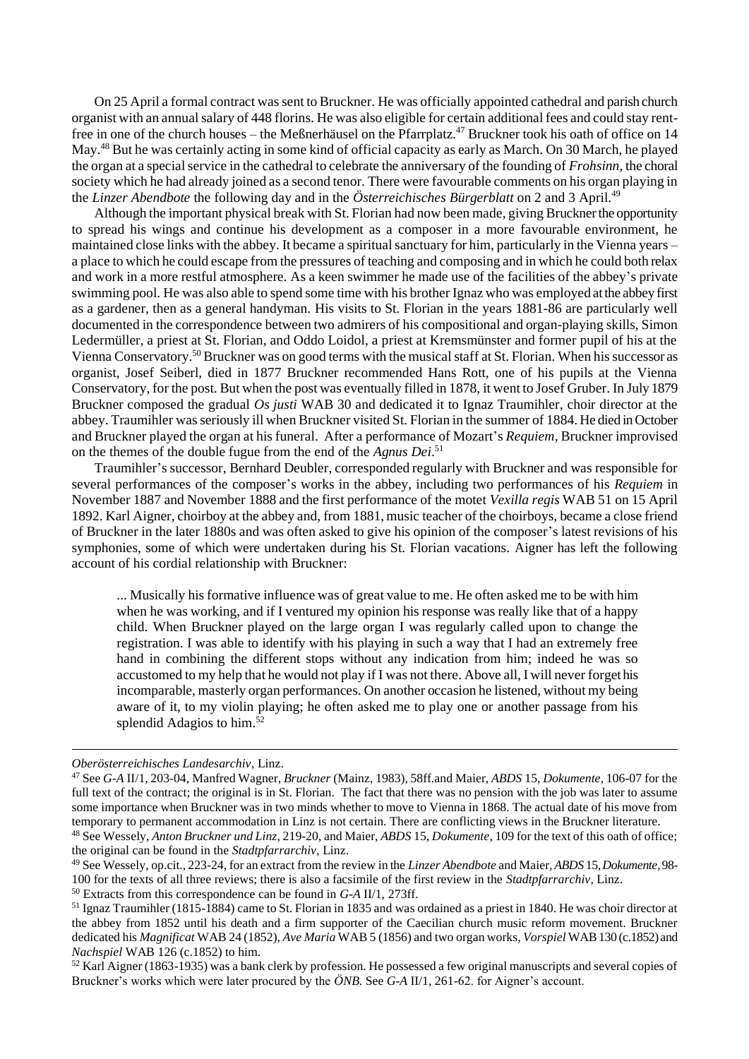On 25 April a formal contract was sent to Bruckner. He was officially appointed cathedral and parish church organist with an annual salary of 448 florins. He was also eligible for certain additional fees and could stay rentfree in one of the church houses – the Meßnerhäusel on the Pfarrplatz.<sup>47</sup> Bruckner took his oath of office on 14 May.<sup>48</sup> But he was certainly acting in some kind of official capacity as early as March. On 30 March, he played the organ at a special service in the cathedral to celebrate the anniversary of the founding of *Frohsinn*, the choral society which he had already joined as a second tenor. There were favourable comments on his organ playing in the *Linzer Abendbote* the following day and in the *Österreichisches Bürgerblatt* on 2 and 3 April.<sup>49</sup>

Although the important physical break with St. Florian had now been made, giving Bruckner the opportunity to spread his wings and continue his development as a composer in a more favourable environment, he maintained close links with the abbey. It became a spiritual sanctuary for him, particularly in the Vienna years – a place to which he could escape from the pressures of teaching and composing and in which he could both relax and work in a more restful atmosphere. As a keen swimmer he made use of the facilities of the abbey's private swimming pool. He was also able to spend some time with his brother Ignaz who was employed at the abbey first as a gardener, then as a general handyman. His visits to St. Florian in the years 1881-86 are particularly well documented in the correspondence between two admirers of his compositional and organ-playing skills, Simon Ledermüller, a priest at St. Florian, and Oddo Loidol, a priest at Kremsmünster and former pupil of his at the Vienna Conservatory.<sup>50</sup> Bruckner was on good terms with the musical staff at St. Florian. When his successor as organist, Josef Seiberl, died in 1877 Bruckner recommended Hans Rott, one of his pupils at the Vienna Conservatory, for the post. But when the post was eventually filled in 1878, it went to Josef Gruber. In July 1879 Bruckner composed the gradual *Os justi* WAB 30 and dedicated it to Ignaz Traumihler, choir director at the abbey. Traumihler was seriously ill when Bruckner visited St. Florian in the summer of 1884. He died in October and Bruckner played the organ at his funeral. After a performance of Mozart's *Requiem*, Bruckner improvised on the themes of the double fugue from the end of the *Agnus Dei*. 51

Traumihler's successor, Bernhard Deubler, corresponded regularly with Bruckner and was responsible for several performances of the composer's works in the abbey, including two performances of his *Requiem* in November 1887 and November 1888 and the first performance of the motet *Vexilla regis* WAB 51 on 15 April 1892. Karl Aigner, choirboy at the abbey and, from 1881, music teacher of the choirboys, became a close friend of Bruckner in the later 1880s and was often asked to give his opinion of the composer's latest revisions of his symphonies, some of which were undertaken during his St. Florian vacations. Aigner has left the following account of his cordial relationship with Bruckner:

... Musically his formative influence was of great value to me. He often asked me to be with him when he was working, and if I ventured my opinion his response was really like that of a happy child. When Bruckner played on the large organ I was regularly called upon to change the registration. I was able to identify with his playing in such a way that I had an extremely free hand in combining the different stops without any indication from him; indeed he was so accustomed to my help that he would not play if I was not there. Above all, I will never forget his incomparable, masterly organ performances. On another occasion he listened, without my being aware of it, to my violin playing; he often asked me to play one or another passage from his splendid Adagios to him.<sup>52</sup>

*Oberösterreichisches Landesarchiv*, Linz.

<sup>47</sup>See *G-A* II/1, 203-04, Manfred Wagner, *Bruckner* (Mainz, 1983), 58ff.and Maier, *ABDS* 15, *Dokumente*, 106-07 for the full text of the contract; the original is in St. Florian. The fact that there was no pension with the job was later to assume some importance when Bruckner was in two minds whether to move to Vienna in 1868. The actual date of his move from temporary to permanent accommodation in Linz is not certain. There are conflicting views in the Bruckner literature. <sup>48</sup>See Wessely, *Anton Bruckner und Linz*, 219-20, and Maier, *ABDS* 15, *Dokumente*, 109 for the text of this oath of office;

the original can be found in the *Stadtpfarrarchiv*, Linz.

<sup>49</sup>See Wessely, op.cit., 223-24, for an extract from the review in the *Linzer Abendbote* and Maier, *ABDS* 15, *Dokumente,* 98- 100 for the texts of all three reviews; there is also a facsimile of the first review in the *Stadtpfarrarchiv*, Linz.

<sup>50</sup> Extracts from this correspondence can be found in *G-A* II/1, 273ff.

<sup>&</sup>lt;sup>51</sup> Ignaz Traumihler (1815-1884) came to St. Florian in 1835 and was ordained as a priest in 1840. He was choir director at the abbey from 1852 until his death and a firm supporter of the Caecilian church music reform movement. Bruckner dedicated his *Magnificat* WAB 24 (1852), *Ave Maria* WAB 5 (1856) and two organ works, *Vorspiel* WAB 130 (c.1852) and *Nachspiel* WAB 126 (c.1852) to him.

 $52$  Karl Aigner (1863-1935) was a bank clerk by profession. He possessed a few original manuscripts and several copies of Bruckner's works which were later procured by the *ÖNB*. See *G-A* II/1, 261-62. for Aigner's account.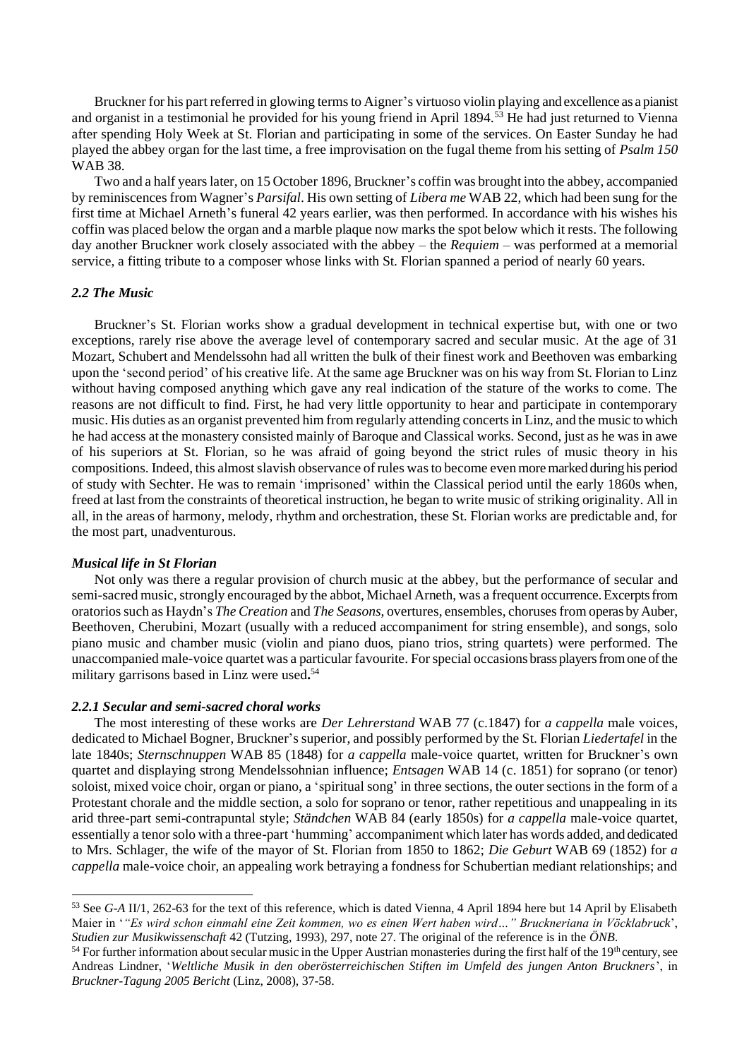Bruckner for his part referred in glowing terms to Aigner's virtuoso violin playing and excellence as a pianist and organist in a testimonial he provided for his young friend in April 1894.<sup>53</sup> He had just returned to Vienna after spending Holy Week at St. Florian and participating in some of the services. On Easter Sunday he had played the abbey organ for the last time, a free improvisation on the fugal theme from his setting of *Psalm 150* WAB 38.

Two and a half years later, on 15 October 1896, Bruckner's coffin was brought into the abbey, accompanied by reminiscences from Wagner's *Parsifal*. His own setting of *Libera me* WAB 22, which had been sung for the first time at Michael Arneth's funeral 42 years earlier, was then performed. In accordance with his wishes his coffin was placed below the organ and a marble plaque now marks the spot below which it rests. The following day another Bruckner work closely associated with the abbey – the *Requiem* – was performed at a memorial service, a fitting tribute to a composer whose links with St. Florian spanned a period of nearly 60 years.

## *2.2 The Music*

Bruckner's St. Florian works show a gradual development in technical expertise but, with one or two exceptions, rarely rise above the average level of contemporary sacred and secular music. At the age of 31 Mozart, Schubert and Mendelssohn had all written the bulk of their finest work and Beethoven was embarking upon the 'second period' of his creative life. At the same age Bruckner was on his way from St. Florian to Linz without having composed anything which gave any real indication of the stature of the works to come. The reasons are not difficult to find. First, he had very little opportunity to hear and participate in contemporary music. His duties as an organist prevented him from regularly attending concerts in Linz, and the music to which he had access at the monastery consisted mainly of Baroque and Classical works. Second, just as he was in awe of his superiors at St. Florian, so he was afraid of going beyond the strict rules of music theory in his compositions. Indeed, this almost slavish observance of rules was to become even more marked during his period of study with Sechter. He was to remain 'imprisoned' within the Classical period until the early 1860s when, freed at last from the constraints of theoretical instruction, he began to write music of striking originality. All in all, in the areas of harmony, melody, rhythm and orchestration, these St. Florian works are predictable and, for the most part, unadventurous.

### *Musical life in St Florian*

Not only was there a regular provision of church music at the abbey, but the performance of secular and semi-sacred music, strongly encouraged by the abbot, Michael Arneth, was a frequent occurrence. Excerpts from oratorios such as Haydn's *The Creation* and *The Seasons*, overtures, ensembles, choruses from operas by Auber, Beethoven, Cherubini, Mozart (usually with a reduced accompaniment for string ensemble), and songs, solo piano music and chamber music (violin and piano duos, piano trios, string quartets) were performed. The unaccompanied male-voice quartet was a particular favourite. For special occasions brass players from one of the military garrisons based in Linz were used**.** 54

### *2.2.1 Secular and semi-sacred choral works*

The most interesting of these works are *Der Lehrerstand* WAB 77 (c.1847) for *a cappella* male voices, dedicated to Michael Bogner, Bruckner's superior, and possibly performed by the St. Florian *Liedertafel* in the late 1840s; *Sternschnuppen* WAB 85 (1848) for *a cappella* male-voice quartet, written for Bruckner's own quartet and displaying strong Mendelssohnian influence; *Entsagen* WAB 14 (c. 1851) for soprano (or tenor) soloist, mixed voice choir, organ or piano, a 'spiritual song' in three sections, the outer sections in the form of a Protestant chorale and the middle section, a solo for soprano or tenor, rather repetitious and unappealing in its arid three-part semi-contrapuntal style; *Ständchen* WAB 84 (early 1850s) for *a cappella* male-voice quartet, essentially a tenor solo with a three-part 'humming' accompaniment which later has words added, and dedicated to Mrs. Schlager, the wife of the mayor of St. Florian from 1850 to 1862; *Die Geburt* WAB 69 (1852) for *a cappella* male-voice choir, an appealing work betraying a fondness for Schubertian mediant relationships; and

<sup>53</sup> See *G-A* II/1, 262-63 for the text of this reference, which is dated Vienna, 4 April 1894 here but 14 April by Elisabeth Maier in '*"Es wird schon einmahl eine Zeit kommen, wo es einen Wert haben wird…" Bruckneriana in Vöcklabruck*', *Studien zur Musikwissenschaft* 42 (Tutzing, 1993), 297, note 27. The original of the reference is in the *ÖNB*.

<sup>&</sup>lt;sup>54</sup> For further information about secular music in the Upper Austrian monasteries during the first half of the 19<sup>th</sup> century, see Andreas Lindner, '*Weltliche Musik in den oberösterreichischen Stiften im Umfeld des jungen Anton Bruckners*', in *Bruckner-Tagung 2005 Bericht* (Linz, 2008), 37-58.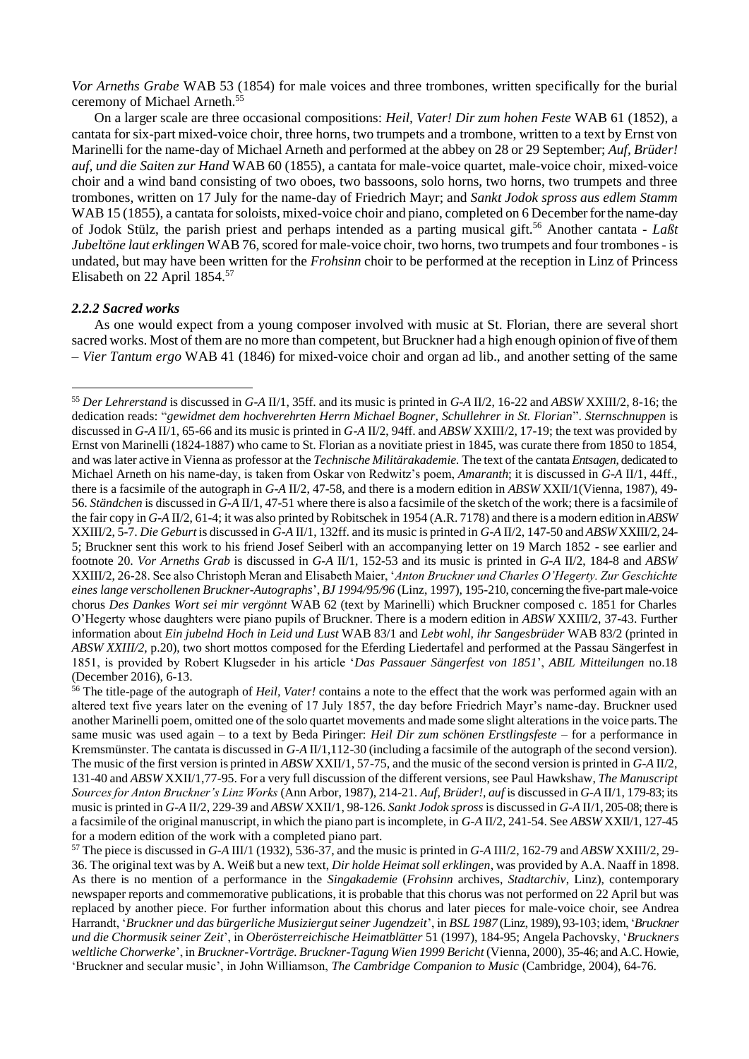*Vor Arneths Grabe* WAB 53 (1854) for male voices and three trombones, written specifically for the burial ceremony of Michael Arneth.<sup>55</sup>

On a larger scale are three occasional compositions: *Heil, Vater! Dir zum hohen Feste* WAB 61 (1852), a cantata for six-part mixed-voice choir, three horns, two trumpets and a trombone, written to a text by Ernst von Marinelli for the name-day of Michael Arneth and performed at the abbey on 28 or 29 September; *Auf, Brüder! auf, und die Saiten zur Hand* WAB 60 (1855), a cantata for male-voice quartet, male-voice choir, mixed-voice choir and a wind band consisting of two oboes, two bassoons, solo horns, two horns, two trumpets and three trombones, written on 17 July for the name-day of Friedrich Mayr; and *Sankt Jodok spross aus edlem Stamm* WAB 15 (1855), a cantata for soloists, mixed-voice choir and piano, completed on 6 December for the name-day of Jodok Stülz, the parish priest and perhaps intended as a parting musical gift.<sup>56</sup> Another cantata - *Laßt Jubeltöne laut erklingen* WAB 76, scored for male-voice choir, two horns, two trumpets and four trombones - is undated, but may have been written for the *Frohsinn* choir to be performed at the reception in Linz of Princess Elisabeth on 22 April 1854.<sup>57</sup>

## *2.2.2 Sacred works*

As one would expect from a young composer involved with music at St. Florian, there are several short sacred works. Most of them are no more than competent, but Bruckner had a high enough opinion of five of them – *Vier Tantum ergo* WAB 41 (1846) for mixed-voice choir and organ ad lib., and another setting of the same

<sup>55</sup> *Der Lehrerstand* is discussed in *G-A* II/1, 35ff. and its music is printed in *G-A* II/2, 16-22 and *ABSW* XXIII/2, 8-16; the dedication reads: "*gewidmet dem hochverehrten Herrn Michael Bogner, Schullehrer in St. Florian*". *Sternschnuppen* is discussed in *G-A* II/1, 65-66 and its music is printed in *G-A* II/2, 94ff. and *ABSW* XXIII/2, 17-19; the text was provided by Ernst von Marinelli (1824-1887) who came to St. Florian as a novitiate priest in 1845, was curate there from 1850 to 1854, and was later active in Vienna as professor at the *Technische Militärakademie.* The text of the cantata *Entsagen*, dedicated to Michael Arneth on his name-day, is taken from Oskar von Redwitz's poem, *Amaranth*; it is discussed in *G-A* II/1, 44ff., there is a facsimile of the autograph in *G-A* II/2, 47-58, and there is a modern edition in *ABSW* XXII/1(Vienna, 1987), 49- 56. *Ständchen* is discussed in *G-A* II/1, 47-51 where there is also a facsimile of the sketch of the work; there is a facsimile of the fair copy in *G-A* II/2, 61-4; it was also printed by Robitschek in 1954 (A.R. 7178) and there is a modern edition in *ABSW*  XXIII/2, 5-7. *Die Geburt*is discussed in *G-A* II/1, 132ff. and its music is printed in *G-A* II/2, 147-50 and *ABSW* XXIII/2, 24- 5; Bruckner sent this work to his friend Josef Seiberl with an accompanying letter on 19 March 1852 - see earlier and footnote 20. *Vor Arneths Grab* is discussed in *G-A* II/1, 152-53 and its music is printed in *G-A* II/2, 184-8 and *ABSW*  XXIII/2, 26-28. See also Christoph Meran and Elisabeth Maier, '*Anton Bruckner und Charles O'Hegerty. Zur Geschichte eines lange verschollenen Bruckner-Autographs*', *BJ 1994/95/96* (Linz, 1997), 195-210, concerning the five-part male-voice chorus *Des Dankes Wort sei mir vergönnt* WAB 62 (text by Marinelli) which Bruckner composed c. 1851 for Charles O'Hegerty whose daughters were piano pupils of Bruckner. There is a modern edition in *ABSW* XXIII/2, 37-43. Further information about *Ein jubelnd Hoch in Leid und Lust* WAB 83/1 and *Lebt wohl, ihr Sangesbrüder* WAB 83/2 (printed in *ABSW XXIII/2,* p.20), two short mottos composed for the Eferding Liedertafel and performed at the Passau Sängerfest in 1851, is provided by Robert Klugseder in his article '*Das Passauer Sängerfest von 1851*', *ABIL Mitteilungen* no.18 (December 2016), 6-13.

<sup>56</sup> The title-page of the autograph of *Heil, Vater!* contains a note to the effect that the work was performed again with an altered text five years later on the evening of 17 July 1857, the day before Friedrich Mayr's name-day. Bruckner used another Marinelli poem, omitted one of the solo quartet movements and made some slight alterations in the voice parts. The same music was used again – to a text by Beda Piringer: *Heil Dir zum schönen Erstlingsfeste* – for a performance in Kremsmünster. The cantata is discussed in *G-A* II/1,112-30 (including a facsimile of the autograph of the second version). The music of the first version is printed in *ABSW* XXII/1, 57-75, and the music of the second version is printed in *G-A* II/2, 131-40 and *ABSW* XXII/1,77-95. For a very full discussion of the different versions, see Paul Hawkshaw, *The Manuscript Sources for Anton Bruckner's Linz Works* (Ann Arbor, 1987), 214-21. *Auf, Brüder!, auf*is discussed in *G-A* II/1, 179-83; its music is printed in *G-A* II/2, 229-39 and *ABSW* XXII/1, 98-126. *Sankt Jodok spross* is discussed in *G-A* II/1, 205-08; there is a facsimile of the original manuscript, in which the piano part is incomplete, in *G-A* II/2, 241-54. See *ABSW* XXII/1, 127-45 for a modern edition of the work with a completed piano part.

<sup>57</sup> The piece is discussed in *G-A* III/1 (1932), 536-37, and the music is printed in *G-A* III/2, 162-79 and *ABSW* XXIII/2, 29- 36. The original text was by A. Weiß but a new text, *Dir holde Heimat soll erklingen*, was provided by A.A. Naaff in 1898. As there is no mention of a performance in the *Singakademie* (*Frohsinn* archives, *Stadtarchiv*, Linz), contemporary newspaper reports and commemorative publications, it is probable that this chorus was not performed on 22 April but was replaced by another piece. For further information about this chorus and later pieces for male-voice choir, see Andrea Harrandt, '*Bruckner und das bürgerliche Musiziergut seiner Jugendzeit*', in *BSL 1987* (Linz, 1989), 93-103; idem, '*Bruckner und die Chormusik seiner Zeit*', in *Oberösterreichische Heimatblätter* 51 (1997), 184-95; Angela Pachovsky, '*Bruckners weltliche Chorwerke*', in *Bruckner-Vorträge. Bruckner-Tagung Wien 1999 Bericht* (Vienna, 2000), 35-46; and A.C. Howie, 'Bruckner and secular music', in John Williamson, *The Cambridge Companion to Music* (Cambridge, 2004), 64-76.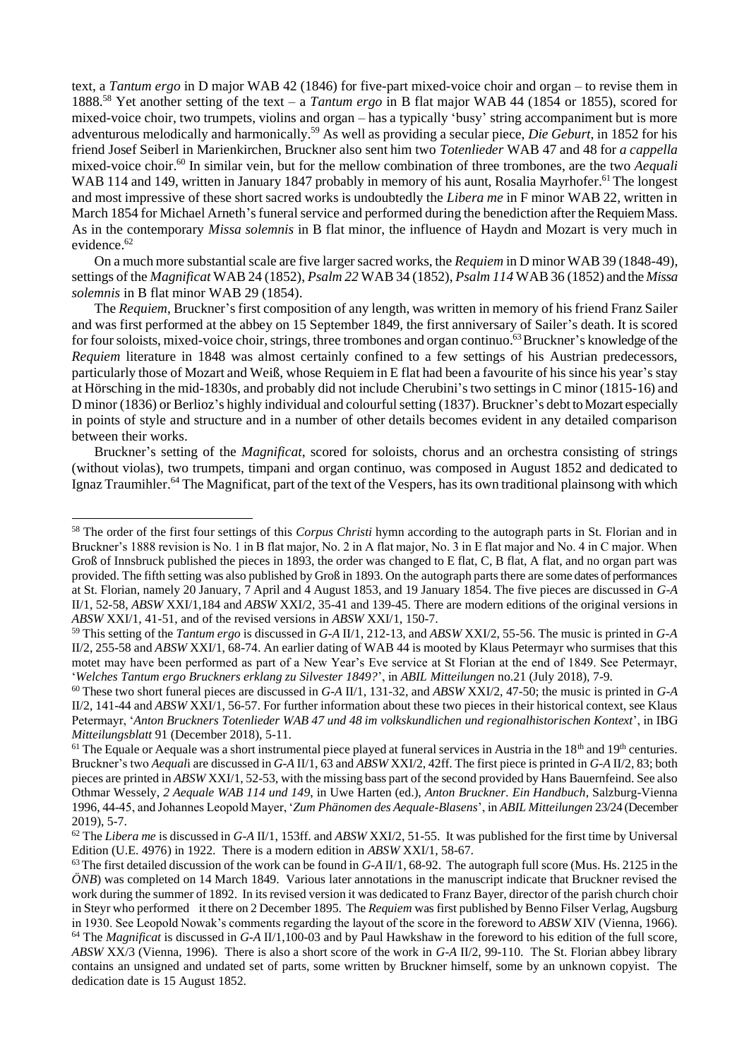text, a *Tantum ergo* in D major WAB 42 (1846) for five-part mixed-voice choir and organ – to revise them in 1888.<sup>58</sup> Yet another setting of the text – a *Tantum ergo* in B flat major WAB 44 (1854 or 1855), scored for mixed-voice choir, two trumpets, violins and organ – has a typically 'busy' string accompaniment but is more adventurous melodically and harmonically.<sup>59</sup> As well as providing a secular piece, *Die Geburt*, in 1852 for his friend Josef Seiberl in Marienkirchen, Bruckner also sent him two *Totenlieder* WAB 47 and 48 for *a cappella* mixed-voice choir. <sup>60</sup> In similar vein, but for the mellow combination of three trombones, are the two *Aequali* WAB 114 and 149, written in January 1847 probably in memory of his aunt, Rosalia Mayrhofer.<sup>61</sup> The longest and most impressive of these short sacred works is undoubtedly the *Libera me* in F minor WAB 22, written in March 1854 for Michael Arneth's funeral service and performed during the benediction after the Requiem Mass. As in the contemporary *Missa solemnis* in B flat minor, the influence of Haydn and Mozart is very much in evidence. 62

On a much more substantial scale are five larger sacred works, the *Requiem* in D minor WAB 39 (1848-49), settings of the *Magnificat* WAB 24 (1852), *Psalm 22* WAB 34 (1852), *Psalm 114* WAB 36 (1852) and the *Missa solemnis* in B flat minor WAB 29 (1854).

The *Requiem*, Bruckner's first composition of any length, was written in memory of his friend Franz Sailer and was first performed at the abbey on 15 September 1849, the first anniversary of Sailer's death. It is scored for four soloists, mixed-voice choir, strings, three trombones and organ continuo.<sup>63</sup> Bruckner's knowledge of the *Requiem* literature in 1848 was almost certainly confined to a few settings of his Austrian predecessors, particularly those of Mozart and Weiß, whose Requiem in E flat had been a favourite of his since his year's stay at Hörsching in the mid-1830s, and probably did not include Cherubini'stwo settings in C minor (1815-16) and D minor (1836) or Berlioz's highly individual and colourful setting (1837). Bruckner's debt to Mozart especially in points of style and structure and in a number of other details becomes evident in any detailed comparison between their works.

Bruckner's setting of the *Magnificat*, scored for soloists, chorus and an orchestra consisting of strings (without violas), two trumpets, timpani and organ continuo, was composed in August 1852 and dedicated to Ignaz Traumihler.<sup>64</sup> The Magnificat, part of the text of the Vespers, has its own traditional plainsong with which

<sup>58</sup> The order of the first four settings of this *Corpus Christi* hymn according to the autograph parts in St. Florian and in Bruckner's 1888 revision is No. 1 in B flat major, No. 2 in A flat major, No. 3 in E flat major and No. 4 in C major. When Groß of Innsbruck published the pieces in 1893, the order was changed to E flat, C, B flat, A flat, and no organ part was provided. The fifth setting was also published by Groß in 1893. On the autograph parts there are some dates of performances at St. Florian, namely 20 January, 7 April and 4 August 1853, and 19 January 1854. The five pieces are discussed in *G-A*  II/1, 52-58, *ABSW* XXI/1,184 and *ABSW* XXI/2, 35-41 and 139-45. There are modern editions of the original versions in *ABSW* XXI/1, 41-51, and of the revised versions in *ABSW* XXI/1, 150-7.

<sup>59</sup> This setting of the *Tantum ergo* is discussed in *G-A* II/1, 212-13, and *ABSW* XXI/2, 55-56. The music is printed in *G-A*  II/2, 255-58 and *ABSW* XXI/1, 68-74. An earlier dating of WAB 44 is mooted by Klaus Petermayr who surmises that this motet may have been performed as part of a New Year's Eve service at St Florian at the end of 1849. See Petermayr, '*Welches Tantum ergo Bruckners erklang zu Silvester 1849?*', in *ABIL Mitteilungen* no.21 (July 2018), 7-9.

<sup>60</sup> These two short funeral pieces are discussed in *G-A* II/1, 131-32, and *ABSW* XXI/2, 47-50; the music is printed in *G-A*  II/2, 141-44 and *ABSW* XXI/1, 56-57. For further information about these two pieces in their historical context, see Klaus Petermayr, '*Anton Bruckners Totenlieder WAB 47 und 48 im volkskundlichen und regionalhistorischen Kontext*', in IBG *Mitteilungsblatt* 91 (December 2018), 5-11.

 $61$  The Equale or Aequale was a short instrumental piece played at funeral services in Austria in the  $18<sup>th</sup>$  and  $19<sup>th</sup>$  centuries. Bruckner's two *Aequal*i are discussed in *G-A* II/1, 63 and *ABSW* XXI/2, 42ff. The first piece is printed in *G-A* II/2, 83; both pieces are printed in *ABSW* XXI/1, 52-53, with the missing bass part of the second provided by Hans Bauernfeind. See also Othmar Wessely, *2 Aequale WAB 114 und 149*, in Uwe Harten (ed.), *Anton Bruckner. Ein Handbuch*, Salzburg-Vienna 1996, 44-45, and Johannes Leopold Mayer, '*Zum Phänomen des Aequale-Blasens*', in *ABIL Mitteilungen* 23/24 (December 2019), 5-7.

<sup>62</sup> The *Libera me* is discussed in *G-A* II/1, 153ff. and *ABSW* XXI/2, 51-55. It was published for the first time by Universal Edition (U.E. 4976) in 1922. There is a modern edition in *ABSW* XXI/1, 58-67.

 $63$  The first detailed discussion of the work can be found in *G-A* II/1, 68-92. The autograph full score (Mus. Hs. 2125 in the *ÖNB*) was completed on 14 March 1849. Various later annotations in the manuscript indicate that Bruckner revised the work during the summer of 1892. In its revised version it was dedicated to Franz Bayer, director of the parish church choir in Steyr who performed it there on 2 December 1895. The *Requiem* was first published by Benno Filser Verlag, Augsburg in 1930. See Leopold Nowak's comments regarding the layout of the score in the foreword to *ABSW* XIV (Vienna, 1966).

<sup>64</sup> The *Magnificat* is discussed in *G-A* II/1,100-03 and by Paul Hawkshaw in the foreword to his edition of the full score, *ABSW* XX/3 (Vienna, 1996). There is also a short score of the work in *G-A* II/2, 99-110. The St. Florian abbey library contains an unsigned and undated set of parts, some written by Bruckner himself, some by an unknown copyist. The dedication date is 15 August 1852.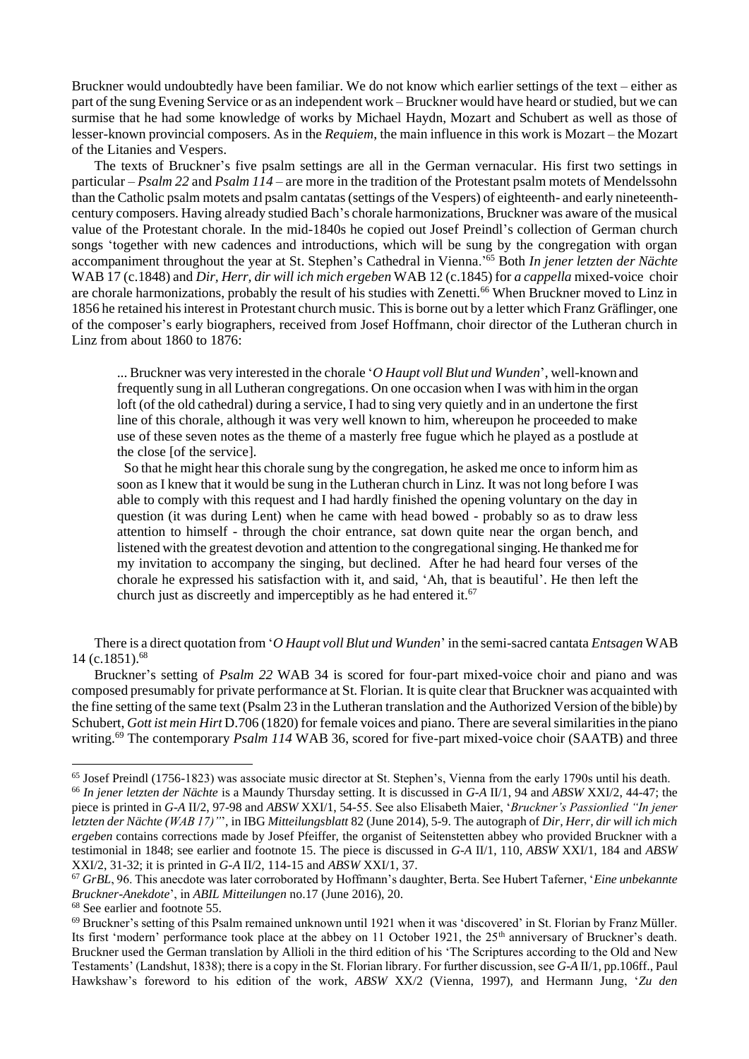Bruckner would undoubtedly have been familiar. We do not know which earlier settings of the text – either as part of the sung Evening Service or as an independent work – Bruckner would have heard or studied, but we can surmise that he had some knowledge of works by Michael Haydn, Mozart and Schubert as well as those of lesser-known provincial composers. As in the *Requiem*, the main influence in this work is Mozart – the Mozart of the Litanies and Vespers.

The texts of Bruckner's five psalm settings are all in the German vernacular. His first two settings in particular – *Psalm 22* and *Psalm 114* – are more in the tradition of the Protestant psalm motets of Mendelssohn than the Catholic psalm motets and psalm cantatas (settings of the Vespers) of eighteenth- and early nineteenthcentury composers. Having already studied Bach's chorale harmonizations, Bruckner was aware of the musical value of the Protestant chorale. In the mid-1840s he copied out Josef Preindl's collection of German church songs 'together with new cadences and introductions, which will be sung by the congregation with organ accompaniment throughout the year at St. Stephen's Cathedral in Vienna.'<sup>65</sup> Both *In jener letzten der Nächte* WAB 17 (c.1848) and *Dir, Herr, dir will ich mich ergeben* WAB 12 (c.1845) for *a cappella* mixed-voice choir are chorale harmonizations, probably the result of his studies with Zenetti.<sup>66</sup> When Bruckner moved to Linz in 1856 he retained his interest in Protestant church music. This is borne out by a letter which Franz Gräflinger, one of the composer's early biographers, received from Josef Hoffmann, choir director of the Lutheran church in Linz from about 1860 to 1876:

... Bruckner was very interested in the chorale '*O Haupt voll Blut und Wunden*', well-known and frequently sung in all Lutheran congregations. On one occasion when I was with him in the organ loft (of the old cathedral) during a service, I had to sing very quietly and in an undertone the first line of this chorale, although it was very well known to him, whereupon he proceeded to make use of these seven notes as the theme of a masterly free fugue which he played as a postlude at the close [of the service].

So that he might hear this chorale sung by the congregation, he asked me once to inform him as soon as I knew that it would be sung in the Lutheran church in Linz. It was not long before I was able to comply with this request and I had hardly finished the opening voluntary on the day in question (it was during Lent) when he came with head bowed - probably so as to draw less attention to himself - through the choir entrance, sat down quite near the organ bench, and listened with the greatest devotion and attention to the congregational singing. He thanked me for my invitation to accompany the singing, but declined. After he had heard four verses of the chorale he expressed his satisfaction with it, and said, 'Ah, that is beautiful'. He then left the church just as discreetly and imperceptibly as he had entered it.<sup>67</sup>

There is a direct quotation from '*O Haupt voll Blut und Wunden*' in the semi-sacred cantata *Entsagen* WAB 14 (c.1851).<sup>68</sup>

Bruckner's setting of *Psalm 22* WAB 34 is scored for four-part mixed-voice choir and piano and was composed presumably for private performance at St. Florian. It is quite clear that Bruckner was acquainted with the fine setting of the same text (Psalm 23 in the Lutheran translation and the Authorized Version of the bible) by Schubert, *Gott ist mein Hirt* D.706 (1820) for female voices and piano. There are several similarities in the piano writing.<sup>69</sup> The contemporary *Psalm 114* WAB 36, scored for five-part mixed-voice choir (SAATB) and three

<sup>65</sup> Josef Preindl (1756-1823) was associate music director at St. Stephen's, Vienna from the early 1790s until his death. <sup>66</sup> *In jener letzten der Nächte* is a Maundy Thursday setting. It is discussed in *G-A* II/1, 94 and *ABSW* XXI/2, 44-47; the piece is printed in *G-A* II/2, 97-98 and *ABSW* XXI/1, 54-55. See also Elisabeth Maier, '*Bruckner's Passionlied "In jener letzten der Nächte (WAB 17)"*', in IBG *Mitteilungsblatt* 82 (June 2014), 5-9. The autograph of *Dir, Herr, dir will ich mich ergeben* contains corrections made by Josef Pfeiffer, the organist of Seitenstetten abbey who provided Bruckner with a testimonial in 1848; see earlier and footnote 15. The piece is discussed in *G-A* II/1, 110, *ABSW* XXI/1, 184 and *ABSW*  XXI/2, 31-32; it is printed in *G-A* II/2, 114-15 and *ABSW* XXI/1, 37.

<sup>67</sup> *GrBL*, 96. This anecdote was later corroborated by Hoffmann's daughter, Berta. See Hubert Taferner, '*Eine unbekannte Bruckner-Anekdote*', in *ABIL Mitteilungen* no.17 (June 2016), 20.

<sup>68</sup> See earlier and footnote 55.

 $69$  Bruckner's setting of this Psalm remained unknown until 1921 when it was 'discovered' in St. Florian by Franz Müller. Its first 'modern' performance took place at the abbey on 11 October 1921, the 25<sup>th</sup> anniversary of Bruckner's death. Bruckner used the German translation by Allioli in the third edition of his 'The Scriptures according to the Old and New Testaments' (Landshut, 1838); there is a copy in the St. Florian library. For further discussion, see *G-A* II/1, pp.106ff., Paul Hawkshaw's foreword to his edition of the work, *ABSW* XX/2 (Vienna, 1997), and Hermann Jung, '*Zu den*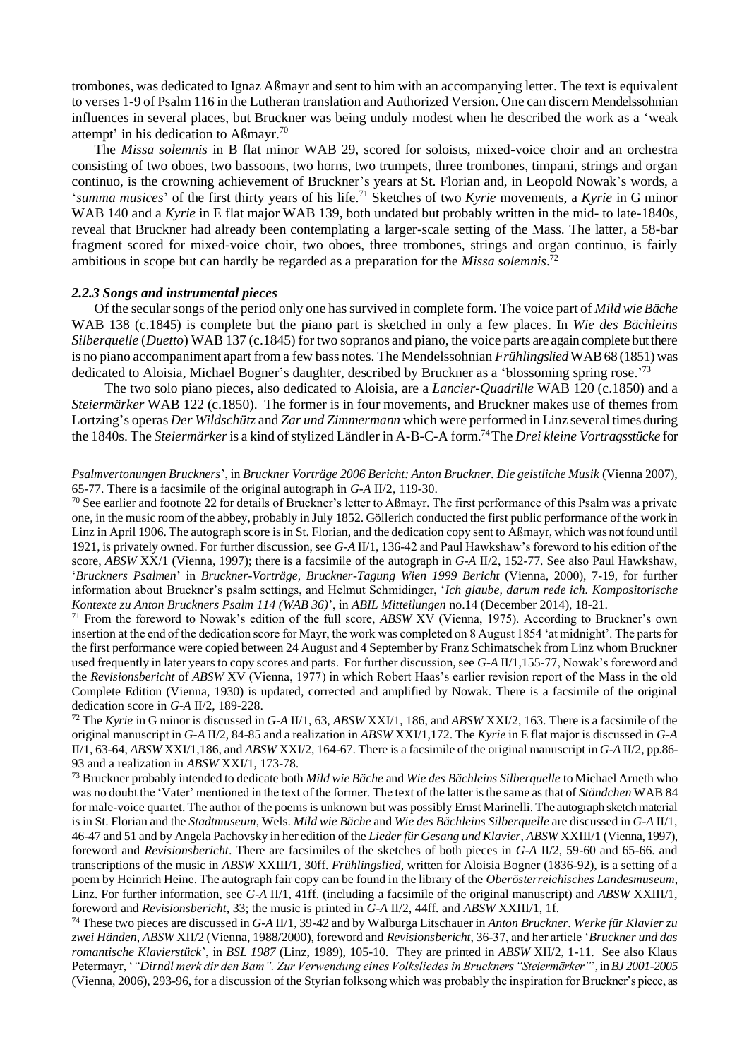trombones, was dedicated to Ignaz Aßmayr and sent to him with an accompanying letter. The text is equivalent to verses 1-9 of Psalm 116 in the Lutheran translation and Authorized Version. One can discern Mendelssohnian influences in several places, but Bruckner was being unduly modest when he described the work as a 'weak attempt' in his dedication to Aßmayr.<sup>70</sup>

The *Missa solemnis* in B flat minor WAB 29, scored for soloists, mixed-voice choir and an orchestra consisting of two oboes, two bassoons, two horns, two trumpets, three trombones, timpani, strings and organ continuo, is the crowning achievement of Bruckner's years at St. Florian and, in Leopold Nowak's words, a '*summa musices*' of the first thirty years of his life.<sup>71</sup> Sketches of two *Kyrie* movements, a *Kyrie* in G minor WAB 140 and a *Kyrie* in E flat major WAB 139, both undated but probably written in the mid- to late-1840s, reveal that Bruckner had already been contemplating a larger-scale setting of the Mass. The latter, a 58-bar fragment scored for mixed-voice choir, two oboes, three trombones, strings and organ continuo, is fairly ambitious in scope but can hardly be regarded as a preparation for the *Missa solemnis*. 72

#### *2.2.3 Songs and instrumental pieces*

Of the secular songs of the period only one has survived in complete form. The voice part of *Mild wie Bäche* WAB 138 (c.1845) is complete but the piano part is sketched in only a few places. In *Wie des Bächleins Silberquelle* (*Duetto*) WAB 137 (c.1845) for two sopranos and piano, the voice parts are again complete but there is no piano accompaniment apart from a few bass notes. The Mendelssohnian *Frühlingslied*WAB 68 (1851) was dedicated to Aloisia, Michael Bogner's daughter, described by Bruckner as a 'blossoming spring rose.'<sup>73</sup>

 The two solo piano pieces, also dedicated to Aloisia, are a *Lancier-Quadrille* WAB 120 (c.1850) and a *Steiermärker* WAB 122 (c.1850). The former is in four movements, and Bruckner makes use of themes from Lortzing's operas *Der Wildschütz* and *Zar und Zimmermann* which were performed in Linz several times during the 1840s. The *Steiermärker*is a kind of stylized Ländler in A-B-C-A form. <sup>74</sup>The *Drei kleine Vortragsstücke* for

*Psalmvertonungen Bruckners*', in *Bruckner Vorträge 2006 Bericht: Anton Bruckner. Die geistliche Musik* (Vienna 2007), 65-77. There is a facsimile of the original autograph in *G-A* II/2, 119-30.

 $^{70}$  See earlier and footnote 22 for details of Bruckner's letter to Aßmayr. The first performance of this Psalm was a private one, in the music room of the abbey, probably in July 1852. Göllerich conducted the first public performance of the work in Linz in April 1906. The autograph score is in St. Florian, and the dedication copy sent to Aßmayr, which was not found until 1921, is privately owned. For further discussion, see *G-A* II/1, 136-42 and Paul Hawkshaw's foreword to his edition of the score, *ABSW* XX/1 (Vienna, 1997); there is a facsimile of the autograph in *G-A* II/2, 152-77. See also Paul Hawkshaw, '*Bruckners Psalmen*' in *Bruckner-Vorträge, Bruckner-Tagung Wien 1999 Bericht* (Vienna, 2000), 7-19, for further information about Bruckner's psalm settings, and Helmut Schmidinger, '*Ich glaube, darum rede ich. Kompositorische Kontexte zu Anton Bruckners Psalm 114 (WAB 36)*', in *ABIL Mitteilungen* no.14 (December 2014), 18-21.

<sup>71</sup> From the foreword to Nowak's edition of the full score, *ABSW* XV (Vienna, 1975). According to Bruckner's own insertion at the end of the dedication score for Mayr, the work was completed on 8 August 1854 'at midnight'. The parts for the first performance were copied between 24 August and 4 September by Franz Schimatschek from Linz whom Bruckner used frequently in later years to copy scores and parts. For further discussion, see *G-A* II/1,155-77, Nowak's foreword and the *Revisionsbericht* of *ABSW* XV (Vienna, 1977) in which Robert Haas's earlier revision report of the Mass in the old Complete Edition (Vienna, 1930) is updated, corrected and amplified by Nowak. There is a facsimile of the original dedication score in *G-A* II/2, 189-228.

<sup>72</sup> The *Kyrie* in G minor is discussed in *G-A* II/1, 63, *ABSW* XXI/1, 186, and *ABSW* XXI/2, 163. There is a facsimile of the original manuscript in *G-A* II/2, 84-85 and a realization in *ABSW* XXI/1,172. The *Kyrie* in E flat major is discussed in *G-A*  II/1, 63-64, *ABSW* XXI/1,186, and *ABSW* XXI/2, 164-67. There is a facsimile of the original manuscript in *G-A* II/2, pp.86- 93 and a realization in *ABSW* XXI/1, 173-78.

<sup>73</sup> Bruckner probably intended to dedicate both *Mild wie Bäche* and *Wie des Bächleins Silberquelle* to Michael Arneth who was no doubt the 'Vater' mentioned in the text of the former. The text of the latter is the same as that of *Ständchen* WAB 84 for male-voice quartet. The author of the poems is unknown but was possibly Ernst Marinelli. The autograph sketch material is in St. Florian and the *Stadtmuseum*, Wels. *Mild wie Bäche* and *Wie des Bächleins Silberquelle* are discussed in *G-A* II/1, 46-47 and 51 and by Angela Pachovsky in her edition of the *Lieder für Gesang und Klavier*, *ABSW* XXIII/1 (Vienna, 1997), foreword and *Revisionsbericht*. There are facsimiles of the sketches of both pieces in *G-A* II/2, 59-60 and 65-66. and transcriptions of the music in *ABSW* XXIII/1, 30ff. *Frühlingslied*, written for Aloisia Bogner (1836-92), is a setting of a poem by Heinrich Heine. The autograph fair copy can be found in the library of the *Oberösterreichisches Landesmuseum*, Linz. For further information, see *G-A* II/1, 41ff. (including a facsimile of the original manuscript) and *ABSW* XXIII/1, foreword and *Revisionsbericht*, 33; the music is printed in *G-A* II/2, 44ff. and *ABSW* XXIII/1, 1f.

<sup>74</sup> These two pieces are discussed in *G-A* II/1, 39-42 and by Walburga Litschauer in *Anton Bruckner. Werke für Klavier zu zwei Händen*, *ABSW* XII/2 (Vienna, 1988/2000), foreword and *Revisionsbericht*, 36-37, and her article '*Bruckner und das romantische Klavierstück*', in *BSL 1987* (Linz, 1989), 105-10. They are printed in *ABSW* XII/2, 1-11. See also Klaus Petermayr, '*"Dirndl merk dir den Bam". Zur Verwendung eines Volksliedes in Bruckners "Steiermärker"*', in *BJ 2001-2005* (Vienna, 2006), 293-96, for a discussion of the Styrian folksong which was probably the inspiration for Bruckner's piece, as